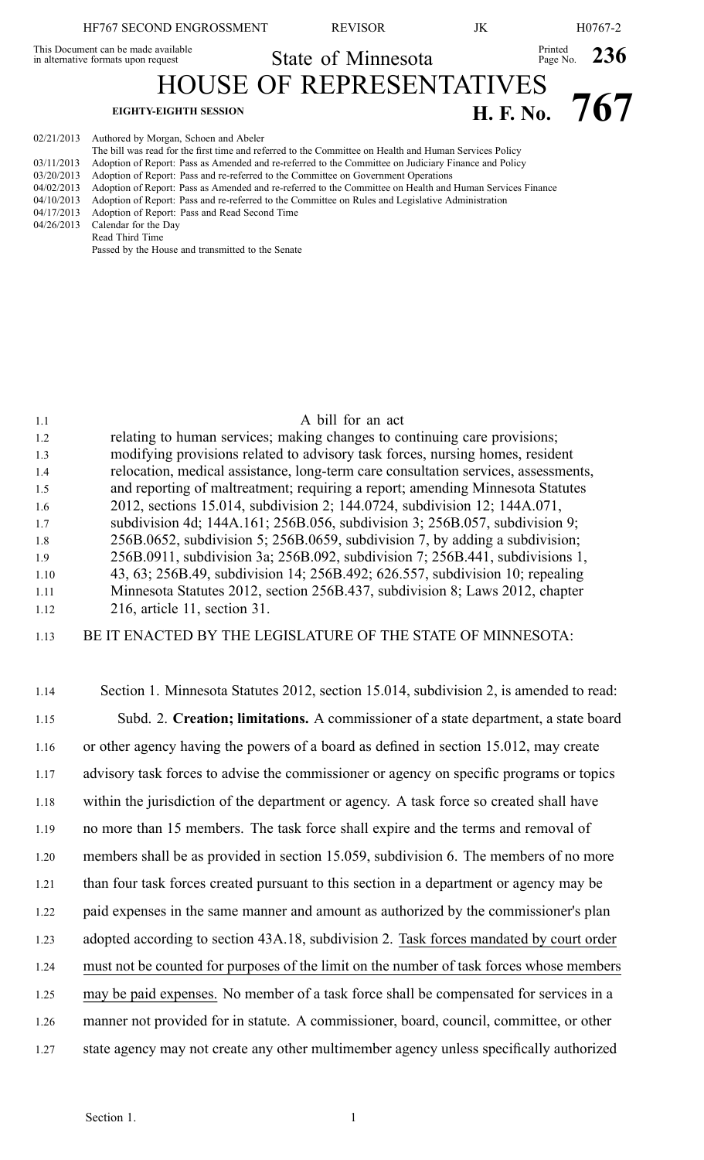| HF767 SECOND ENGROSSMENT                                                   | <b>REVISOR</b>                  | JK               |                           | H <sub>0767-2</sub> |
|----------------------------------------------------------------------------|---------------------------------|------------------|---------------------------|---------------------|
| This Document can be made available<br>in alternative formats upon request | State of Minnesota              |                  | Printed<br>Page No. $236$ |                     |
|                                                                            | <b>HOUSE OF REPRESENTATIVES</b> |                  |                           |                     |
| <b>EIGHTY-EIGHTH SESSION</b>                                               |                                 | <b>H. F. No.</b> |                           | 767                 |
| 02/21/2013 Authored by Morgan, Schoen and Abeler                           |                                 |                  |                           |                     |

|            | The bill was read for the first time and referred to the Committee on Health and Human Services Policy    |
|------------|-----------------------------------------------------------------------------------------------------------|
| 03/11/2013 | Adoption of Report: Pass as Amended and re-referred to the Committee on Judiciary Finance and Policy      |
| 03/20/2013 | Adoption of Report: Pass and re-referred to the Committee on Government Operations                        |
| 04/02/2013 | Adoption of Report: Pass as Amended and re-referred to the Committee on Health and Human Services Finance |
| 04/10/2013 | Adoption of Report: Pass and re-referred to the Committee on Rules and Legislative Administration         |
| 04/17/2013 | Adoption of Report: Pass and Read Second Time                                                             |
| 04/26/2013 | Calendar for the Day                                                                                      |
|            | Read Third Time                                                                                           |
|            | Passed by the House and transmitted to the Senate                                                         |

| 1.1  | A bill for an act                                                                  |
|------|------------------------------------------------------------------------------------|
| 1.2  | relating to human services; making changes to continuing care provisions;          |
| 1.3  | modifying provisions related to advisory task forces, nursing homes, resident      |
| 1.4  | relocation, medical assistance, long-term care consultation services, assessments, |
| 1.5  | and reporting of maltreatment; requiring a report; amending Minnesota Statutes     |
| 1.6  | 2012, sections 15.014, subdivision 2; 144.0724, subdivision 12; 144A.071,          |
| 1.7  | subdivision 4d; 144A.161; 256B.056, subdivision 3; 256B.057, subdivision 9;        |
| 1.8  | 256B.0652, subdivision 5; 256B.0659, subdivision 7, by adding a subdivision;       |
| 1.9  | 256B.0911, subdivision 3a; 256B.092, subdivision 7; 256B.441, subdivisions 1,      |
| 1.10 | 43, 63; 256B.49, subdivision 14; 256B.492; 626.557, subdivision 10; repealing      |
| 1.11 | Minnesota Statutes 2012, section 256B.437, subdivision 8; Laws 2012, chapter       |
| 1.12 | 216, article 11, section 31.                                                       |
|      |                                                                                    |

- 1.13 BE IT ENACTED BY THE LEGISLATURE OF THE STATE OF MINNESOTA:
- 1.14 Section 1. Minnesota Statutes 2012, section 15.014, subdivision 2, is amended to read: 1.15 Subd. 2. **Creation; limitations.** A commissioner of <sup>a</sup> state department, <sup>a</sup> state board 1.16 or other agency having the powers of <sup>a</sup> board as defined in section 15.012, may create 1.17 advisory task forces to advise the commissioner or agency on specific programs or topics 1.18 within the jurisdiction of the department or agency. A task force so created shall have 1.19 no more than 15 members. The task force shall expire and the terms and removal of 1.20 members shall be as provided in section 15.059, subdivision 6. The members of no more 1.21 than four task forces created pursuan<sup>t</sup> to this section in <sup>a</sup> department or agency may be 1.22 paid expenses in the same manner and amount as authorized by the commissioner's plan 1.23 adopted according to section 43A.18, subdivision 2. Task forces mandated by court order 1.24 must not be counted for purposes of the limit on the number of task forces whose members 1.25 may be paid expenses. No member of <sup>a</sup> task force shall be compensated for services in <sup>a</sup> 1.26 manner not provided for in statute. A commissioner, board, council, committee, or other 1.27 state agency may not create any other multimember agency unless specifically authorized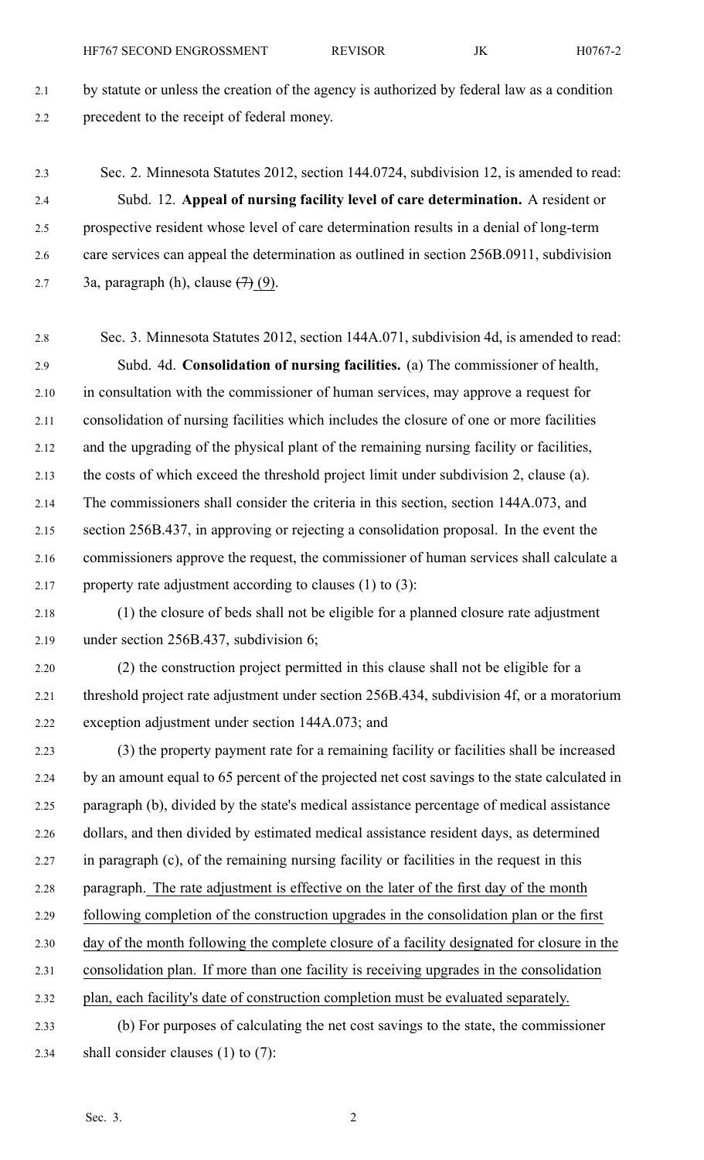2.1 by statute or unless the creation of the agency is authorized by federal law as <sup>a</sup> condition 2.2 precedent to the receipt of federal money.

2.3 Sec. 2. Minnesota Statutes 2012, section 144.0724, subdivision 12, is amended to read: 2.4 Subd. 12. **Appeal of nursing facility level of care determination.** A resident or 2.5 prospective resident whose level of care determination results in <sup>a</sup> denial of long-term 2.6 care services can appeal the determination as outlined in section 256B.0911, subdivision 2.7 3a, paragraph (h), clause  $(7)(9)$ .

2.8 Sec. 3. Minnesota Statutes 2012, section 144A.071, subdivision 4d, is amended to read: 2.9 Subd. 4d. **Consolidation of nursing facilities.** (a) The commissioner of health, 2.10 in consultation with the commissioner of human services, may approve <sup>a</sup> reques<sup>t</sup> for 2.11 consolidation of nursing facilities which includes the closure of one or more facilities 2.12 and the upgrading of the physical plant of the remaining nursing facility or facilities, 2.13 the costs of which exceed the threshold project limit under subdivision 2, clause (a). 2.14 The commissioners shall consider the criteria in this section, section 144A.073, and 2.15 section 256B.437, in approving or rejecting <sup>a</sup> consolidation proposal. In the event the 2.16 commissioners approve the request, the commissioner of human services shall calculate <sup>a</sup> 2.17 property rate adjustment according to clauses  $(1)$  to  $(3)$ :

2.18 (1) the closure of beds shall not be eligible for <sup>a</sup> planned closure rate adjustment 2.19 under section 256B.437, subdivision 6;

2.20 (2) the construction project permitted in this clause shall not be eligible for <sup>a</sup> 2.21 threshold project rate adjustment under section 256B.434, subdivision 4f, or <sup>a</sup> moratorium 2.22 exception adjustment under section 144A.073; and

2.23 (3) the property paymen<sup>t</sup> rate for <sup>a</sup> remaining facility or facilities shall be increased 2.24 by an amount equal to 65 percen<sup>t</sup> of the projected net cost savings to the state calculated in 2.25 paragraph (b), divided by the state's medical assistance percentage of medical assistance 2.26 dollars, and then divided by estimated medical assistance resident days, as determined 2.27 in paragraph (c), of the remaining nursing facility or facilities in the reques<sup>t</sup> in this 2.28 paragraph. The rate adjustment is effective on the later of the first day of the month 2.29 following completion of the construction upgrades in the consolidation plan or the first 2.30 day of the month following the complete closure of <sup>a</sup> facility designated for closure in the 2.31 consolidation plan. If more than one facility is receiving upgrades in the consolidation 2.32 plan, each facility's date of construction completion must be evaluated separately. 2.33 (b) For purposes of calculating the net cost savings to the state, the commissioner

2.34 shall consider clauses (1) to (7):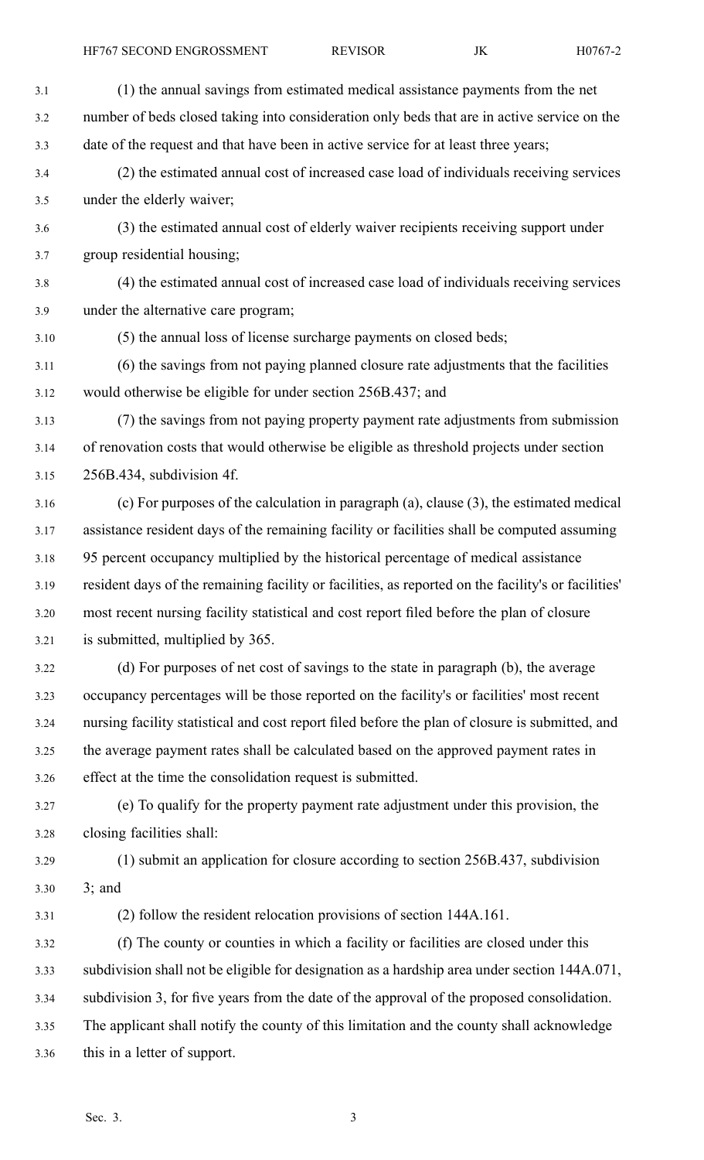| 3.1  | (1) the annual savings from estimated medical assistance payments from the net                      |
|------|-----------------------------------------------------------------------------------------------------|
| 3.2  | number of beds closed taking into consideration only beds that are in active service on the         |
| 3.3  | date of the request and that have been in active service for at least three years;                  |
| 3.4  | (2) the estimated annual cost of increased case load of individuals receiving services              |
| 3.5  | under the elderly waiver;                                                                           |
| 3.6  | (3) the estimated annual cost of elderly waiver recipients receiving support under                  |
| 3.7  | group residential housing;                                                                          |
| 3.8  | (4) the estimated annual cost of increased case load of individuals receiving services              |
| 3.9  | under the alternative care program;                                                                 |
| 3.10 | (5) the annual loss of license surcharge payments on closed beds;                                   |
| 3.11 | (6) the savings from not paying planned closure rate adjustments that the facilities                |
| 3.12 | would otherwise be eligible for under section 256B.437; and                                         |
| 3.13 | (7) the savings from not paying property payment rate adjustments from submission                   |
| 3.14 | of renovation costs that would otherwise be eligible as threshold projects under section            |
| 3.15 | 256B.434, subdivision 4f.                                                                           |
| 3.16 | (c) For purposes of the calculation in paragraph (a), clause (3), the estimated medical             |
| 3.17 | assistance resident days of the remaining facility or facilities shall be computed assuming         |
| 3.18 | 95 percent occupancy multiplied by the historical percentage of medical assistance                  |
| 3.19 | resident days of the remaining facility or facilities, as reported on the facility's or facilities' |
| 3.20 | most recent nursing facility statistical and cost report filed before the plan of closure           |
| 3.21 | is submitted, multiplied by 365.                                                                    |
| 3.22 | (d) For purposes of net cost of savings to the state in paragraph (b), the average                  |
| 3.23 | occupancy percentages will be those reported on the facility's or facilities' most recent           |
| 3.24 | nursing facility statistical and cost report filed before the plan of closure is submitted, and     |
| 3.25 | the average payment rates shall be calculated based on the approved payment rates in                |
| 3.26 | effect at the time the consolidation request is submitted.                                          |
| 3.27 | (e) To qualify for the property payment rate adjustment under this provision, the                   |
| 3.28 | closing facilities shall:                                                                           |
| 3.29 | (1) submit an application for closure according to section 256B.437, subdivision                    |
| 3.30 | $3;$ and                                                                                            |
| 3.31 | (2) follow the resident relocation provisions of section 144A.161.                                  |
| 3.32 | (f) The county or counties in which a facility or facilities are closed under this                  |
| 3.33 | subdivision shall not be eligible for designation as a hardship area under section 144A.071,        |
| 3.34 | subdivision 3, for five years from the date of the approval of the proposed consolidation.          |
| 3.35 | The applicant shall notify the county of this limitation and the county shall acknowledge           |
| 3.36 | this in a letter of support.                                                                        |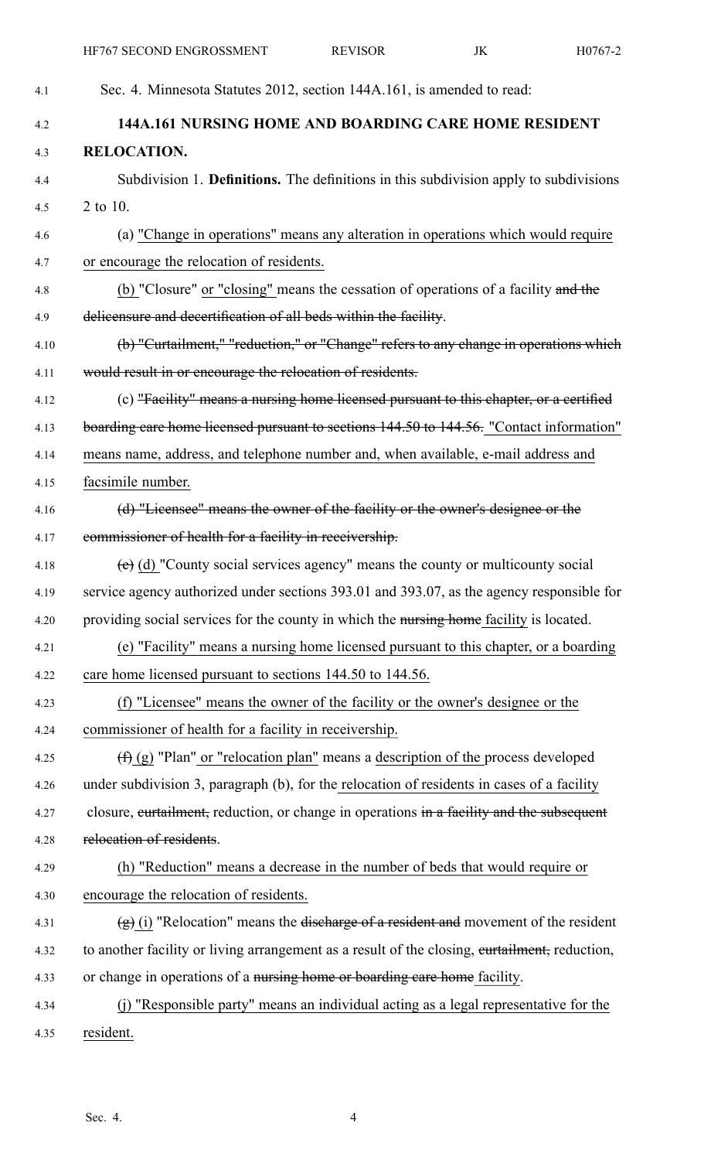| 4.1  | Sec. 4. Minnesota Statutes 2012, section 144A.161, is amended to read:                        |
|------|-----------------------------------------------------------------------------------------------|
| 4.2  | 144A.161 NURSING HOME AND BOARDING CARE HOME RESIDENT                                         |
| 4.3  | <b>RELOCATION.</b>                                                                            |
| 4.4  | Subdivision 1. Definitions. The definitions in this subdivision apply to subdivisions         |
| 4.5  | 2 to 10.                                                                                      |
| 4.6  | (a) "Change in operations" means any alteration in operations which would require             |
| 4.7  | or encourage the relocation of residents.                                                     |
| 4.8  | (b) "Closure" or "closing" means the cessation of operations of a facility and the            |
| 4.9  | delicensure and decertification of all beds within the facility.                              |
| 4.10 | (b) "Curtailment," "reduction," or "Change" refers to any change in operations which          |
| 4.11 | would result in or encourage the relocation of residents.                                     |
| 4.12 | (c) "Facility" means a nursing home licensed pursuant to this chapter, or a certified         |
| 4.13 | boarding care home licensed pursuant to sections 144.50 to 144.56. "Contact information"      |
| 4.14 | means name, address, and telephone number and, when available, e-mail address and             |
| 4.15 | facsimile number.                                                                             |
| 4.16 | (d) "Licensee" means the owner of the facility or the owner's designee or the                 |
| 4.17 | commissioner of health for a facility in receivership.                                        |
| 4.18 | $(e)$ (d) "County social services agency" means the county or multicounty social              |
| 4.19 | service agency authorized under sections 393.01 and 393.07, as the agency responsible for     |
| 4.20 | providing social services for the county in which the nursing home facility is located.       |
| 4.21 | (e) "Facility" means a nursing home licensed pursuant to this chapter, or a boarding          |
| 4.22 | care home licensed pursuant to sections 144.50 to 144.56.                                     |
| 4.23 | (f) "Licensee" means the owner of the facility or the owner's designee or the                 |
| 4.24 | commissioner of health for a facility in receivership.                                        |
| 4.25 | $(\text{f})$ (g) "Plan" or "relocation plan" means a description of the process developed     |
| 4.26 | under subdivision 3, paragraph (b), for the relocation of residents in cases of a facility    |
| 4.27 | closure, eurtailment, reduction, or change in operations in a facility and the subsequent     |
| 4.28 | relocation of residents.                                                                      |
| 4.29 | (h) "Reduction" means a decrease in the number of beds that would require or                  |
| 4.30 | encourage the relocation of residents.                                                        |
| 4.31 | $(g)$ (i) "Relocation" means the discharge of a resident and movement of the resident         |
| 4.32 | to another facility or living arrangement as a result of the closing, eurtailment, reduction, |
| 4.33 | or change in operations of a nursing home or boarding care home facility.                     |
| 4.34 | (j) "Responsible party" means an individual acting as a legal representative for the          |
| 4.35 | resident.                                                                                     |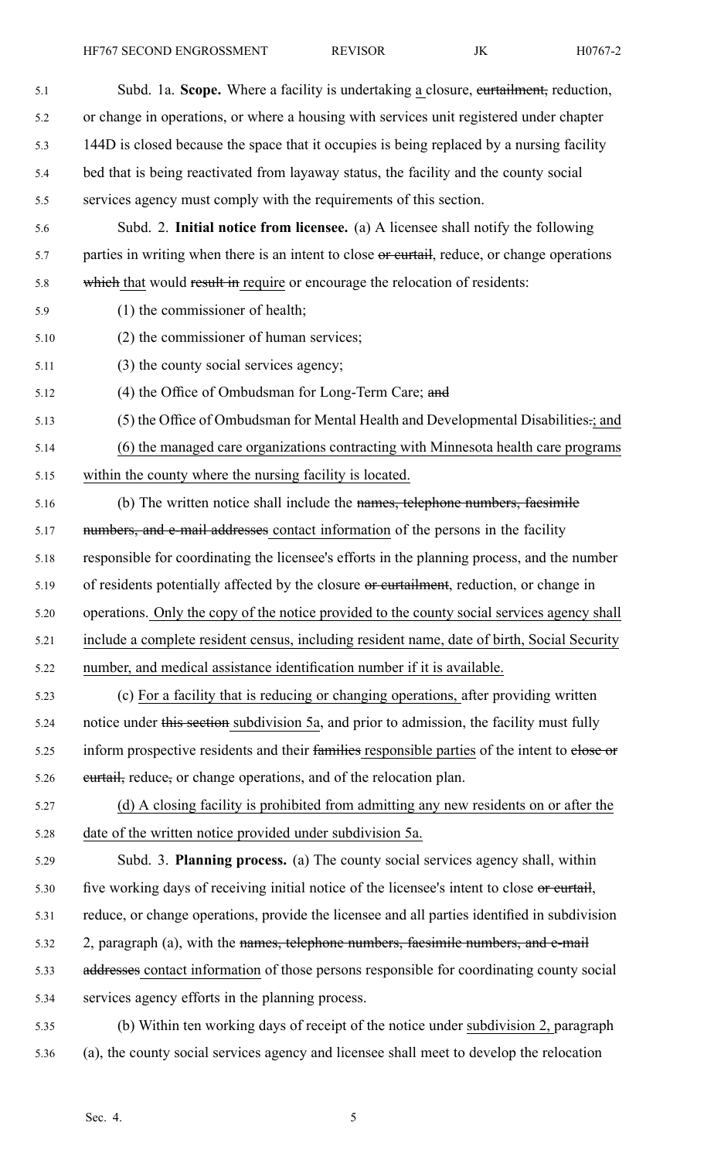HF767 SECOND ENGROSSMENT REVISOR JK H0767-2

| 5.1  | Subd. 1a. Scope. Where a facility is undertaking a closure, eurtailment, reduction,           |
|------|-----------------------------------------------------------------------------------------------|
| 5.2  | or change in operations, or where a housing with services unit registered under chapter       |
| 5.3  | 144D is closed because the space that it occupies is being replaced by a nursing facility     |
| 5.4  | bed that is being reactivated from layaway status, the facility and the county social         |
| 5.5  | services agency must comply with the requirements of this section.                            |
| 5.6  | Subd. 2. Initial notice from licensee. (a) A licensee shall notify the following              |
| 5.7  | parties in writing when there is an intent to close or eurtail, reduce, or change operations  |
| 5.8  | which that would result in require or encourage the relocation of residents:                  |
| 5.9  | (1) the commissioner of health;                                                               |
| 5.10 | (2) the commissioner of human services;                                                       |
| 5.11 | (3) the county social services agency;                                                        |
| 5.12 | (4) the Office of Ombudsman for Long-Term Care; and                                           |
| 5.13 | (5) the Office of Ombudsman for Mental Health and Developmental Disabilities-; and            |
| 5.14 | (6) the managed care organizations contracting with Minnesota health care programs            |
| 5.15 | within the county where the nursing facility is located.                                      |
| 5.16 | (b) The written notice shall include the names, telephone numbers, faesimile                  |
| 5.17 | numbers, and e-mail addresses contact information of the persons in the facility              |
| 5.18 | responsible for coordinating the licensee's efforts in the planning process, and the number   |
| 5.19 | of residents potentially affected by the closure or curtailment, reduction, or change in      |
| 5.20 | operations. Only the copy of the notice provided to the county social services agency shall   |
| 5.21 | include a complete resident census, including resident name, date of birth, Social Security   |
| 5.22 | number, and medical assistance identification number if it is available.                      |
| 5.23 | (c) For a facility that is reducing or changing operations, after providing written           |
| 5.24 | notice under this section subdivision 5a, and prior to admission, the facility must fully     |
| 5.25 | inform prospective residents and their families responsible parties of the intent to elose or |
| 5.26 | eurtail, reduce, or change operations, and of the relocation plan.                            |
| 5.27 | (d) A closing facility is prohibited from admitting any new residents on or after the         |
| 5.28 | date of the written notice provided under subdivision 5a.                                     |
| 5.29 | Subd. 3. Planning process. (a) The county social services agency shall, within                |
| 5.30 | five working days of receiving initial notice of the licensee's intent to close or eurtail,   |
| 5.31 | reduce, or change operations, provide the licensee and all parties identified in subdivision  |
| 5.32 | 2, paragraph (a), with the names, telephone numbers, faesimile numbers, and e-mail            |
| 5.33 | addresses contact information of those persons responsible for coordinating county social     |
| 5.34 | services agency efforts in the planning process.                                              |
| 5.35 | (b) Within ten working days of receipt of the notice under subdivision 2, paragraph           |
| 5.36 | (a), the county social services agency and licensee shall meet to develop the relocation      |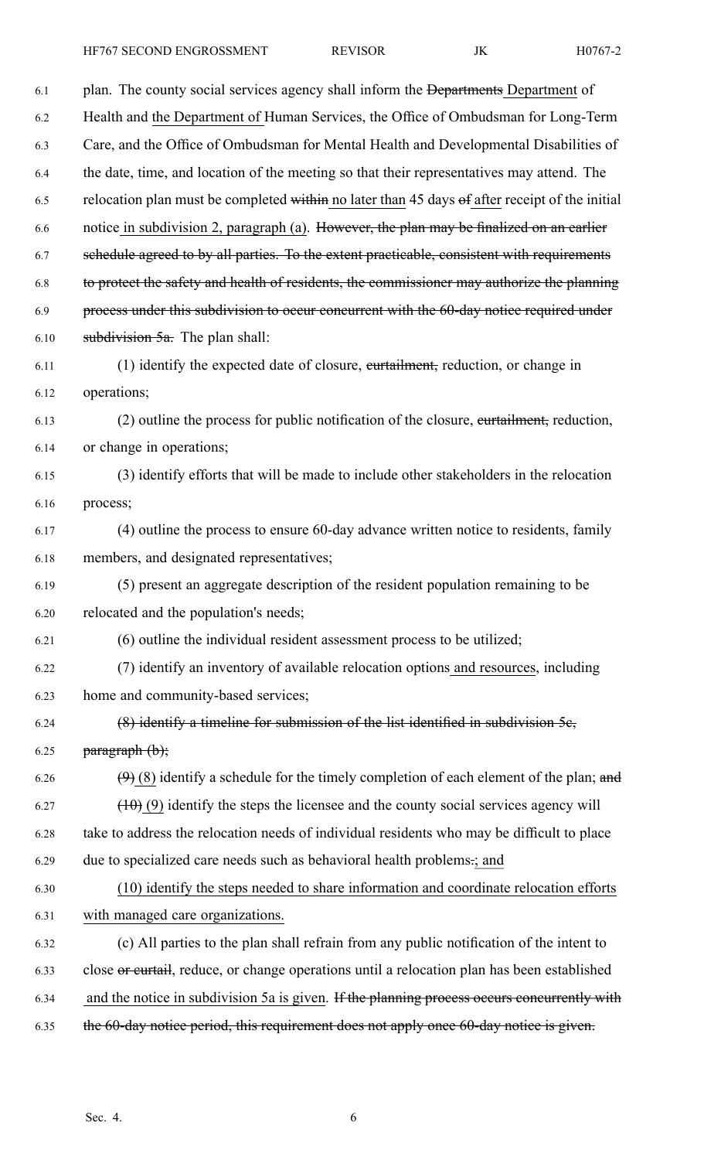6.1 plan. The county social services agency shall inform the Departments Department of 6.2 Health and the Department of Human Services, the Office of Ombudsman for Long-Term 6.3 Care, and the Office of Ombudsman for Mental Health and Developmental Disabilities of 6.4 the date, time, and location of the meeting so that their representatives may attend. The 6.5 relocation plan must be completed within no later than 45 days of after receipt of the initial 6.6 notice in subdivision 2, paragraph (a). However, the plan may be finalized on an earlier 6.7 schedule agreed to by all parties. To the extent practicable, consistent with requirements 6.8 to protect the safety and health of residents, the commissioner may authorize the planning 6.9 process under this subdivision to occur concurrent with the 60-day notice required under 6.10 **subdivision 5a.** The plan shall: 6.11 (1) identify the expected date of closure, curtailment, reduction, or change in 6.12 operations; 6.13 (2) outline the process for public notification of the closure, curtailment, reduction, 6.14 or change in operations; 6.15 (3) identify efforts that will be made to include other stakeholders in the relocation 6.16 process; 6.17 (4) outline the process to ensure 60-day advance written notice to residents, family 6.18 members, and designated representatives; 6.19 (5) presen<sup>t</sup> an aggregate description of the resident population remaining to be 6.20 relocated and the population's needs; 6.21 (6) outline the individual resident assessment process to be utilized; 6.22 (7) identify an inventory of available relocation options and resources, including 6.23 home and community-based services; 6.24 (8) identify <sup>a</sup> timeline for submission of the list identified in subdivision 5c, 6.25 **paragraph**  $(b)$ ; 6.26  $(9)$  (8) identify a schedule for the timely completion of each element of the plan; and  $(10)(9)$  identify the steps the licensee and the county social services agency will 6.28 take to address the relocation needs of individual residents who may be difficult to place 6.29 due to specialized care needs such as behavioral health problems.; and 6.30 (10) identify the steps needed to share information and coordinate relocation efforts 6.31 with managed care organizations. 6.32 (c) All parties to the plan shall refrain from any public notification of the intent to 6.33 close or curtail, reduce, or change operations until <sup>a</sup> relocation plan has been established 6.34 and the notice in subdivision 5a is given. If the planning process occurs concurrently with 6.35 the 60-day notice period, this requirement does not apply once 60-day notice is given.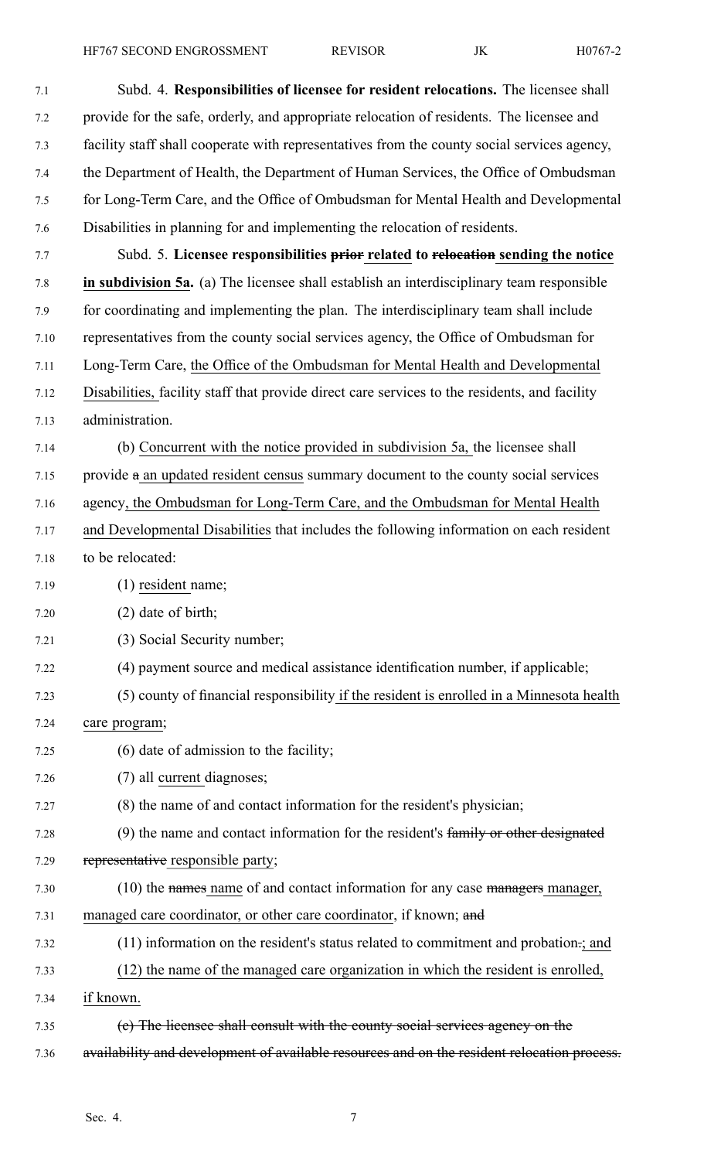HF767 SECOND ENGROSSMENT REVISOR JK H0767-2

- 7.1 Subd. 4. **Responsibilities of licensee for resident relocations.** The licensee shall 7.2 provide for the safe, orderly, and appropriate relocation of residents. The licensee and 7.3 facility staff shall cooperate with representatives from the county social services agency, 7.4 the Department of Health, the Department of Human Services, the Office of Ombudsman 7.5 for Long-Term Care, and the Office of Ombudsman for Mental Health and Developmental 7.6 Disabilities in planning for and implementing the relocation of residents. 7.7 Subd. 5. **Licensee responsibilities prior related to relocation sending the notice** 7.8 **in subdivision 5a.** (a) The licensee shall establish an interdisciplinary team responsible 7.9 for coordinating and implementing the plan. The interdisciplinary team shall include 7.10 representatives from the county social services agency, the Office of Ombudsman for 7.11 Long-Term Care, the Office of the Ombudsman for Mental Health and Developmental 7.12 Disabilities, facility staff that provide direct care services to the residents, and facility 7.13 administration. 7.14 (b) Concurrent with the notice provided in subdivision 5a, the licensee shall 7.15 provide <sup>a</sup> an updated resident census summary document to the county social services 7.16 agency, the Ombudsman for Long-Term Care, and the Ombudsman for Mental Health 7.17 and Developmental Disabilities that includes the following information on each resident 7.18 to be relocated: 7.19 (1) resident name; 7.20 (2) date of birth; 7.21 (3) Social Security number; 7.22 (4) paymen<sup>t</sup> source and medical assistance identification number, if applicable; 7.23 (5) county of financial responsibility if the resident is enrolled in <sup>a</sup> Minnesota health 7.24 care program; 7.25 (6) date of admission to the facility; 7.26 (7) all current diagnoses; 7.27 (8) the name of and contact information for the resident's physician; 7.28 (9) the name and contact information for the resident's family or other designated 7.29 representative responsible party; 7.30 (10) the names name of and contact information for any case managers manager, 7.31 managed care coordinator, or other care coordinator, if known; and 7.32 (11) information on the resident's status related to commitment and probation.; and 7.33 (12) the name of the managed care organization in which the resident is enrolled, 7.34 if known. 7.35 (c) The licensee shall consult with the county social services agency on the
- 7.36 availability and development of available resources and on the resident relocation process.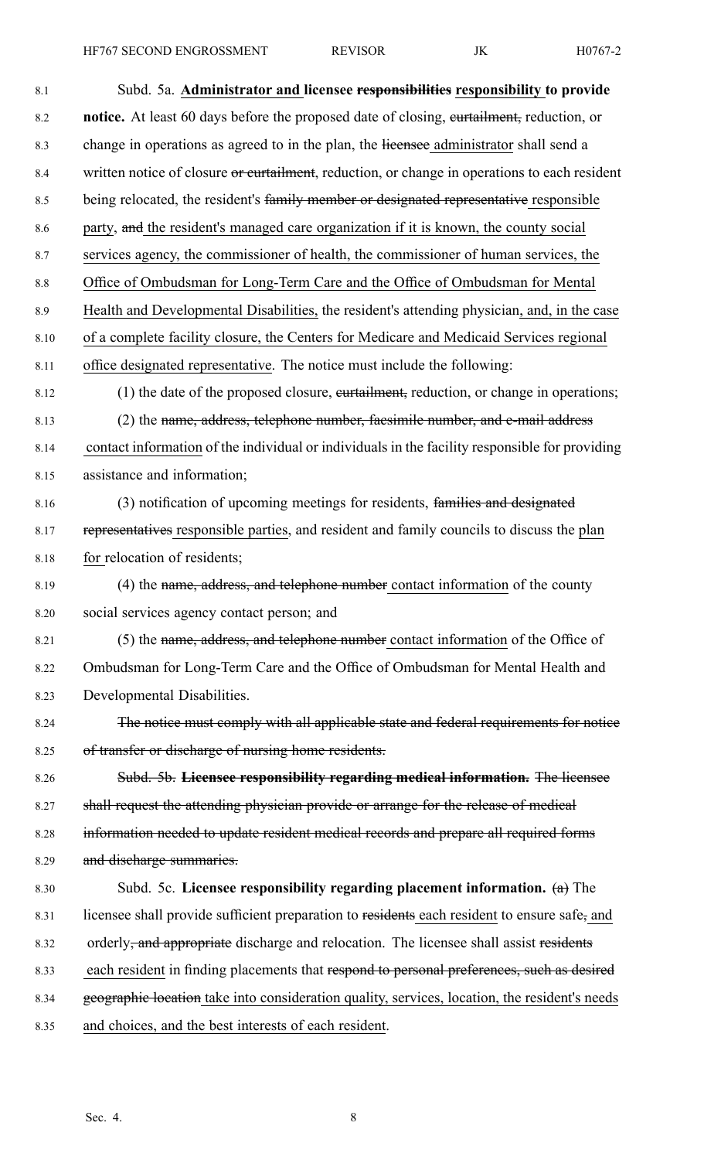| 8.1  | Subd. 5a. Administrator and licensee responsibilities responsibility to provide                    |
|------|----------------------------------------------------------------------------------------------------|
| 8.2  | <b>notice.</b> At least 60 days before the proposed date of closing, eurtailment, reduction, or    |
| 8.3  | change in operations as agreed to in the plan, the licensee administrator shall send a             |
| 8.4  | written notice of closure or curtailment, reduction, or change in operations to each resident      |
| 8.5  | being relocated, the resident's family member or designated representative responsible             |
| 8.6  | party, and the resident's managed care organization if it is known, the county social              |
| 8.7  | services agency, the commissioner of health, the commissioner of human services, the               |
| 8.8  | Office of Ombudsman for Long-Term Care and the Office of Ombudsman for Mental                      |
| 8.9  | Health and Developmental Disabilities, the resident's attending physician, and, in the case        |
| 8.10 | of a complete facility closure, the Centers for Medicare and Medicaid Services regional            |
| 8.11 | office designated representative. The notice must include the following:                           |
| 8.12 | (1) the date of the proposed closure, eurtailment, reduction, or change in operations;             |
| 8.13 | (2) the name, address, telephone number, faesimile number, and e-mail address                      |
| 8.14 | contact information of the individual or individuals in the facility responsible for providing     |
| 8.15 | assistance and information;                                                                        |
| 8.16 | (3) notification of upcoming meetings for residents, families and designated                       |
| 8.17 | representatives responsible parties, and resident and family councils to discuss the plan          |
| 8.18 | for relocation of residents;                                                                       |
| 8.19 | (4) the name, address, and telephone number contact information of the county                      |
| 8.20 | social services agency contact person; and                                                         |
| 8.21 | (5) the name, address, and telephone number contact information of the Office of                   |
| 8.22 | Ombudsman for Long-Term Care and the Office of Ombudsman for Mental Health and                     |
| 8.23 | Developmental Disabilities.                                                                        |
| 8.24 | The notice must comply with all applicable state and federal requirements for notice               |
| 8.25 | of transfer or discharge of nursing home residents.                                                |
| 8.26 | Subd. 5b. Licensee responsibility regarding medical information. The licensee                      |
| 8.27 | shall request the attending physician provide or arrange for the release of medical                |
| 8.28 | information needed to update resident medical records and prepare all required forms               |
| 8.29 | and discharge summaries.                                                                           |
| 8.30 | Subd. 5c. Licensee responsibility regarding placement information. $(a)$ The                       |
| 8.31 | licensee shall provide sufficient preparation to residents each resident to ensure safe, and       |
| 8.32 | orderly <del>, and appropriate</del> discharge and relocation. The licensee shall assist residents |
| 8.33 | each resident in finding placements that respond to personal preferences, such as desired          |
| 8.34 | geographic location take into consideration quality, services, location, the resident's needs      |
| 8.35 | and choices, and the best interests of each resident.                                              |

Sec. 4. 8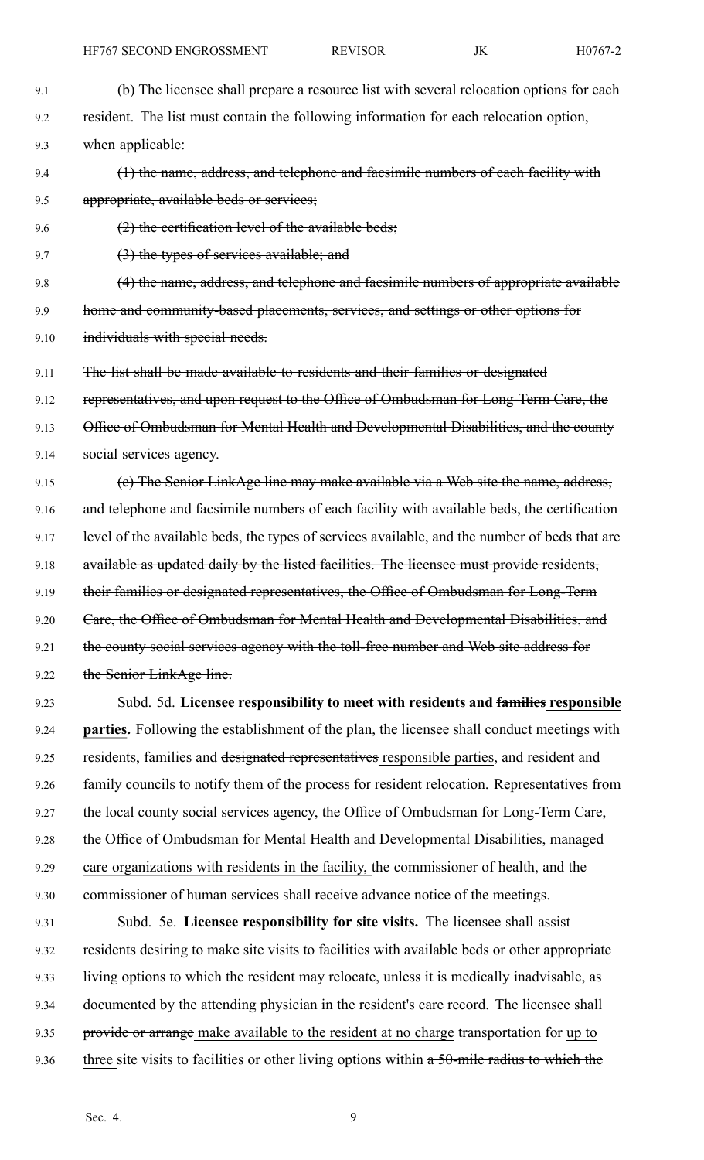- 9.1 (b) The licensee shall prepare a resource list with several relocation options for each 9.2 resident. The list must contain the following information for each relocation option, 9.3 when applicable: 9.4 (1) the name, address, and telephone and facsimile numbers of each facility with 9.5 appropriate, available beds or services; 9.6  $(2)$  the certification level of the available beds; 9.7 (3) the types of services available; and 9.8 (4) the name, address, and telephone and facsimile numbers of appropriate available 9.9 home and community-based placements, services, and settings or other options for 9.10 individuals with special needs. 9.11 The list shall be made available to residents and their families or designated 9.12 representatives, and upon request to the Office of Ombudsman for Long-Term Care, the 9.13 Office of Ombudsman for Mental Health and Developmental Disabilities, and the county 9.14 social services agency. 9.15 (e) The Senior LinkAge line may make available via a Web site the name, address, 9.16 and telephone and facsimile numbers of each facility with available beds, the certification 9.17 level of the available beds, the types of services available, and the number of beds that are 9.18 available as updated daily by the listed facilities. The licensee must provide residents, 9.19 their families or designated representatives, the Office of Ombudsman for Long-Term 9.20 Care, the Office of Ombudsman for Mental Health and Developmental Disabilities, and 9.21 the county social services agency with the toll-free number and Web site address for 9.22 the Senior LinkAge line. 9.23 Subd. 5d. **Licensee responsibility to meet with residents and families responsible**
- 9.24 **parties.** Following the establishment of the plan, the licensee shall conduct meetings with 9.25 residents, families and designated representatives responsible parties, and resident and 9.26 family councils to notify them of the process for resident relocation. Representatives from 9.27 the local county social services agency, the Office of Ombudsman for Long-Term Care, 9.28 the Office of Ombudsman for Mental Health and Developmental Disabilities, managed 9.29 care organizations with residents in the facility, the commissioner of health, and the 9.30 commissioner of human services shall receive advance notice of the meetings.
- 9.31 Subd. 5e. **Licensee responsibility for site visits.** The licensee shall assist 9.32 residents desiring to make site visits to facilities with available beds or other appropriate 9.33 living options to which the resident may relocate, unless it is medically inadvisable, as 9.34 documented by the attending physician in the resident's care record. The licensee shall 9.35 provide or arrange make available to the resident at no charge transportation for up to 9.36 three site visits to facilities or other living options within a 50-mile radius to which the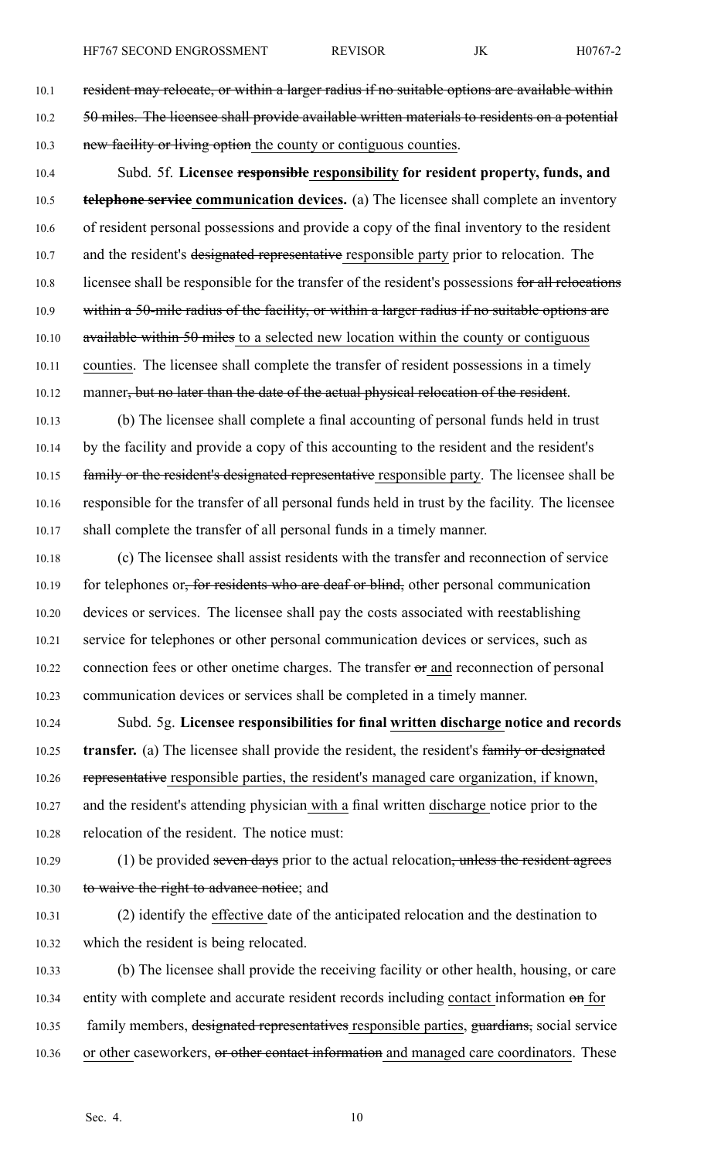- 10.1 resident may relocate, or within a larger radius if no suitable options are available within 10.2 50 miles. The licensee shall provide available written materials to residents on a potential 10.3 new facility or living option the county or contiguous counties.
- 10.4 Subd. 5f. **Licensee responsible responsibility for resident property, funds, and** 10.5 **telephone service communication devices.** (a) The licensee shall complete an inventory 10.6 of resident personal possessions and provide <sup>a</sup> copy of the final inventory to the resident 10.7 and the resident's designated representative responsible party prior to relocation. The 10.8 licensee shall be responsible for the transfer of the resident's possessions for all relocations 10.9 within a 50-mile radius of the facility, or within a larger radius if no suitable options are 10.10 available within 50 miles to a selected new location within the county or contiguous 10.11 counties. The licensee shall complete the transfer of resident possessions in <sup>a</sup> timely 10.12 manner<del>, but no later than the date of the actual physical relocation of the resident</del>.
- 10.13 (b) The licensee shall complete <sup>a</sup> final accounting of personal funds held in trust 10.14 by the facility and provide <sup>a</sup> copy of this accounting to the resident and the resident's 10.15 family or the resident's designated representative responsible party. The licensee shall be 10.16 responsible for the transfer of all personal funds held in trust by the facility. The licensee 10.17 shall complete the transfer of all personal funds in <sup>a</sup> timely manner.
- 10.18 (c) The licensee shall assist residents with the transfer and reconnection of service 10.19 for telephones or, for residents who are deaf or blind, other personal communication 10.20 devices or services. The licensee shall pay the costs associated with reestablishing 10.21 service for telephones or other personal communication devices or services, such as 10.22 connection fees or other onetime charges. The transfer or and reconnection of personal 10.23 communication devices or services shall be completed in <sup>a</sup> timely manner.
- 10.24 Subd. 5g. **Licensee responsibilities for final written discharge notice and records** 10.25 **transfer.** (a) The licensee shall provide the resident, the resident's family or designated 10.26 representative responsible parties, the resident's managed care organization, if known, 10.27 and the resident's attending physician with <sup>a</sup> final written discharge notice prior to the 10.28 relocation of the resident. The notice must:
- 10.29 (1) be provided seven days prior to the actual relocation, unless the resident agrees 10.30 to waive the right to advance notice; and
- 10.31 (2) identify the effective date of the anticipated relocation and the destination to 10.32 which the resident is being relocated.
- 10.33 (b) The licensee shall provide the receiving facility or other health, housing, or care 10.34 entity with complete and accurate resident records including contact information on for 10.35 family members, designated representatives responsible parties, guardians, social service 10.36 or other caseworkers, or other contact information and managed care coordinators. These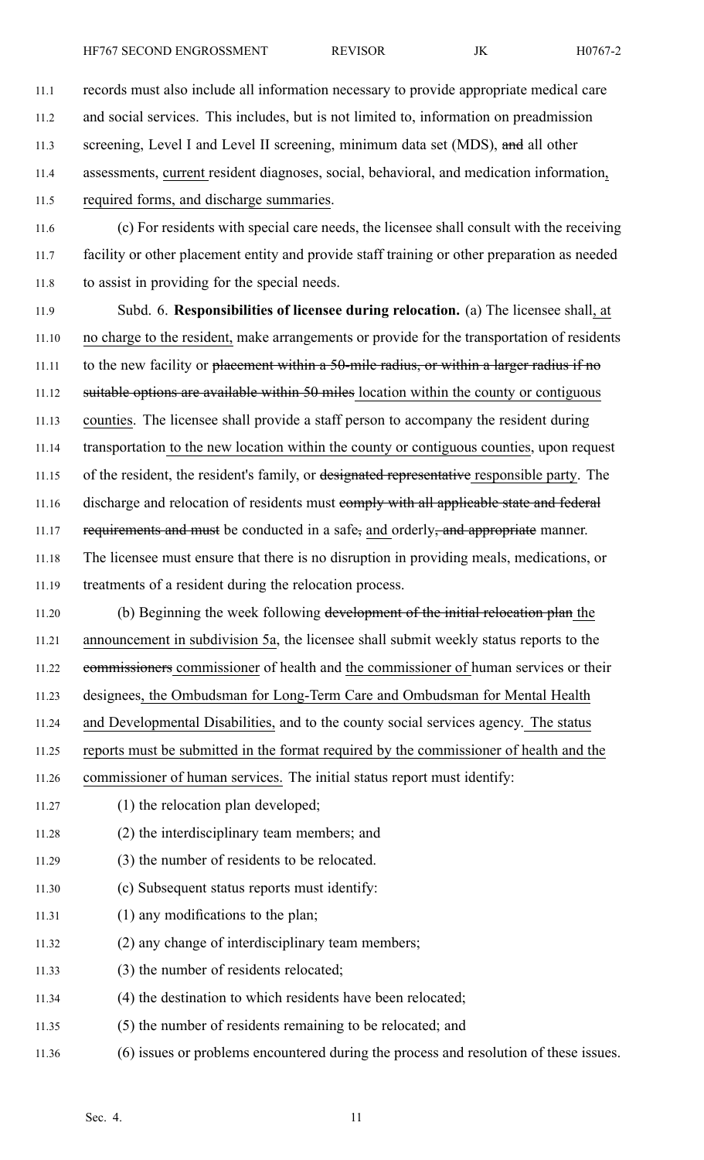11.2 and social services. This includes, but is not limited to, information on preadmission

11.3 screening, Level I and Level II screening, minimum data set (MDS), and all other

11.4 assessments, current resident diagnoses, social, behavioral, and medication information,

11.5 required forms, and discharge summaries.

11.6 (c) For residents with special care needs, the licensee shall consult with the receiving 11.7 facility or other placement entity and provide staff training or other preparation as needed 11.8 to assist in providing for the special needs.

11.9 Subd. 6. **Responsibilities of licensee during relocation.** (a) The licensee shall, at 11.10 no charge to the resident, make arrangements or provide for the transportation of residents 11.11 to the new facility or <del>placement within a 50-mile radius, or within a larger radius if no</del> 11.12 suitable options are available within 50 miles location within the county or contiguous 11.13 counties. The licensee shall provide <sup>a</sup> staff person to accompany the resident during 11.14 transportation to the new location within the county or contiguous counties, upon reques<sup>t</sup> 11.15 of the resident, the resident's family, or designated representative responsible party. The 11.16 discharge and relocation of residents must eomply with all applicable state and federal 11.17 requirements and must be conducted in a safe, and orderly, and appropriate manner. 11.18 The licensee must ensure that there is no disruption in providing meals, medications, or 11.19 treatments of <sup>a</sup> resident during the relocation process.

11.20 (b) Beginning the week following development of the initial relocation plan the 11.21 announcement in subdivision 5a, the licensee shall submit weekly status reports to the 11.22 commissioners commissioner of health and the commissioner of human services or their 11.23 designees, the Ombudsman for Long-Term Care and Ombudsman for Mental Health 11.24 and Developmental Disabilities, and to the county social services agency. The status

11.25 reports must be submitted in the format required by the commissioner of health and the

11.26 commissioner of human services. The initial status repor<sup>t</sup> must identify:

- 11.27 (1) the relocation plan developed;
- 11.28 (2) the interdisciplinary team members; and
- 11.29 (3) the number of residents to be relocated.
- 11.30 (c) Subsequent status reports must identify:
- 11.31 (1) any modifications to the plan;
- 11.32 (2) any change of interdisciplinary team members;
- 11.33 (3) the number of residents relocated;
- 11.34 (4) the destination to which residents have been relocated;
- 11.35 (5) the number of residents remaining to be relocated; and
- 11.36 (6) issues or problems encountered during the process and resolution of these issues.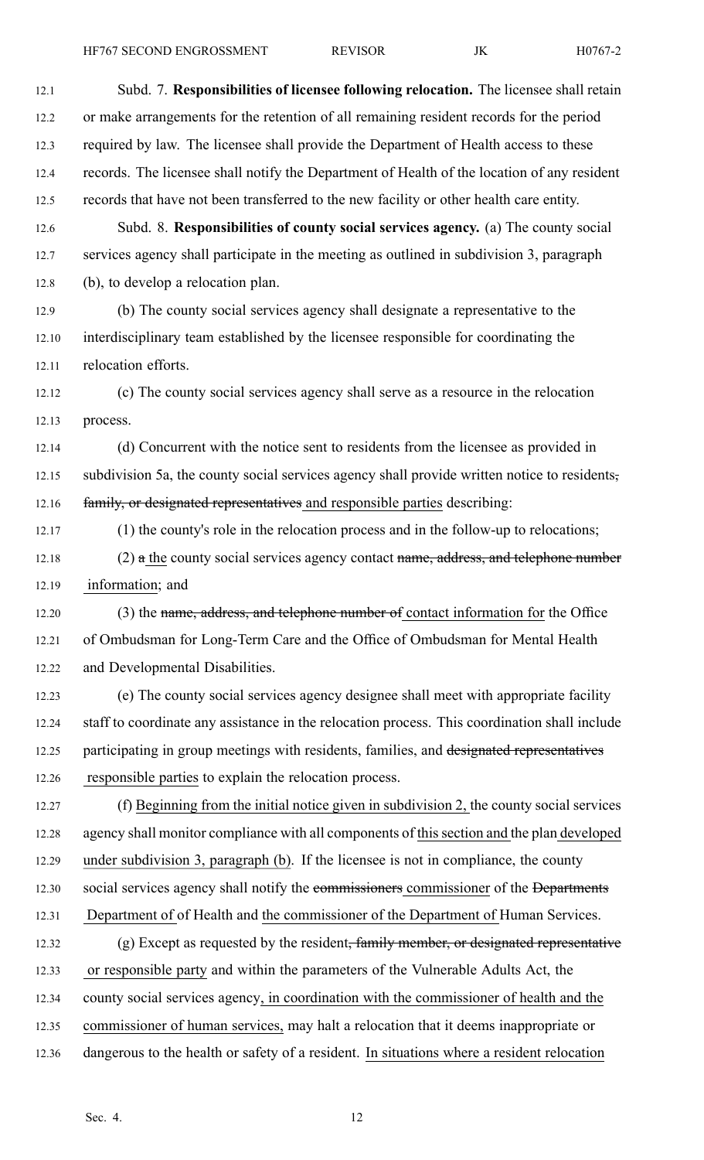12.1 Subd. 7. **Responsibilities of licensee following relocation.** The licensee shall retain 12.2 or make arrangements for the retention of all remaining resident records for the period 12.3 required by law. The licensee shall provide the Department of Health access to these 12.4 records. The licensee shall notify the Department of Health of the location of any resident 12.5 records that have not been transferred to the new facility or other health care entity. 12.6 Subd. 8. **Responsibilities of county social services agency.** (a) The county social 12.7 services agency shall participate in the meeting as outlined in subdivision 3, paragraph 12.8 (b), to develop <sup>a</sup> relocation plan. 12.9 (b) The county social services agency shall designate <sup>a</sup> representative to the 12.10 interdisciplinary team established by the licensee responsible for coordinating the 12.11 relocation efforts. 12.12 (c) The county social services agency shall serve as <sup>a</sup> resource in the relocation 12.13 process. 12.14 (d) Concurrent with the notice sent to residents from the licensee as provided in 12.15 subdivision 5a, the county social services agency shall provide written notice to residents, 12.16 family, or designated representatives and responsible parties describing: 12.17 (1) the county's role in the relocation process and in the follow-up to relocations; 12.18 (2) a the county social services agency contact name, address, and telephone number 12.19 information; and 12.20 (3) the name, address, and telephone number of contact information for the Office 12.21 of Ombudsman for Long-Term Care and the Office of Ombudsman for Mental Health 12.22 and Developmental Disabilities. 12.23 (e) The county social services agency designee shall meet with appropriate facility 12.24 staff to coordinate any assistance in the relocation process. This coordination shall include 12.25 participating in group meetings with residents, families, and designated representatives 12.26 responsible parties to explain the relocation process. 12.27 (f) Beginning from the initial notice given in subdivision 2, the county social services 12.28 agency shall monitor compliance with all components of this section and the plan developed 12.29 under subdivision 3, paragraph (b). If the licensee is not in compliance, the county 12.30 social services agency shall notify the commissioners commissioner of the Departments 12.31 Department of of Health and the commissioner of the Department of Human Services. 12.32 (g) Except as requested by the resident, family member, or designated representative 12.33 or responsible party and within the parameters of the Vulnerable Adults Act, the 12.34 county social services agency, in coordination with the commissioner of health and the 12.35 commissioner of human services, may halt <sup>a</sup> relocation that it deems inappropriate or 12.36 dangerous to the health or safety of <sup>a</sup> resident. In situations where <sup>a</sup> resident relocation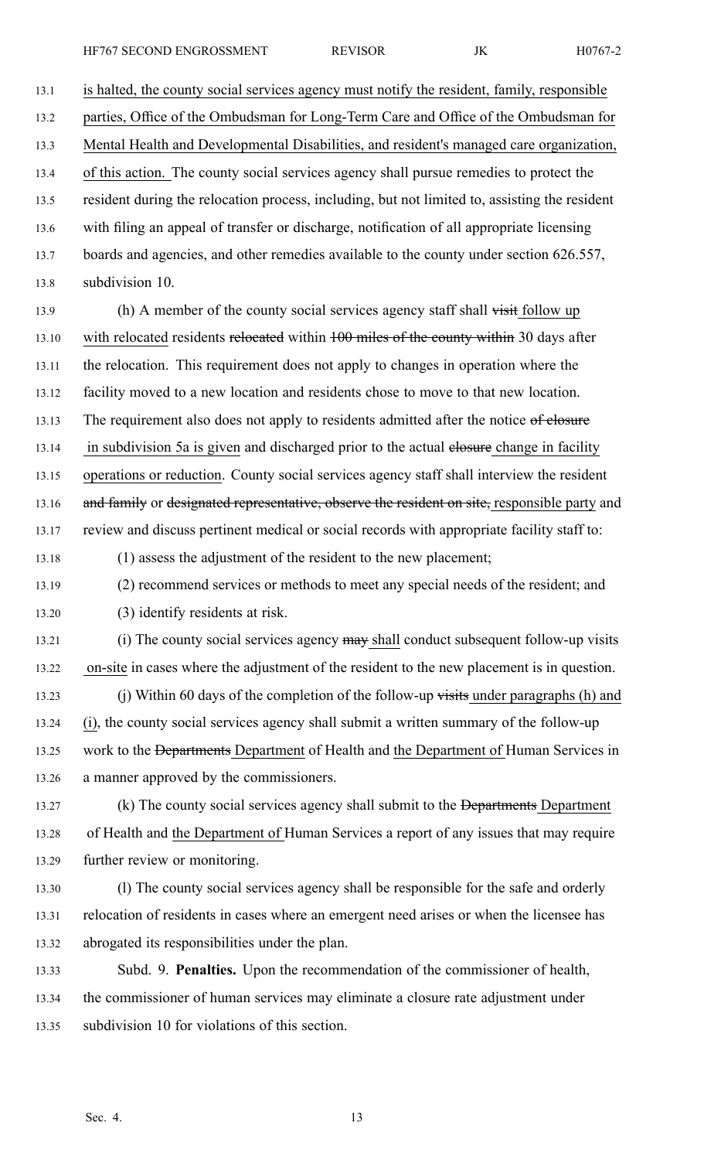13.1 is halted, the county social services agency must notify the resident, family, responsible 13.2 parties, Office of the Ombudsman for Long-Term Care and Office of the Ombudsman for 13.3 Mental Health and Developmental Disabilities, and resident's managed care organization, 13.4 of this action. The county social services agency shall pursue remedies to protect the 13.5 resident during the relocation process, including, but not limited to, assisting the resident 13.6 with filing an appeal of transfer or discharge, notification of all appropriate licensing 13.7 boards and agencies, and other remedies available to the county under section 626.557, 13.8 subdivision 10. 13.9 (h) A member of the county social services agency staff shall visit follow up 13.10 with relocated residents relocated within 100 miles of the county within 30 days after 13.11 the relocation. This requirement does not apply to changes in operation where the 13.12 facility moved to <sup>a</sup> new location and residents chose to move to that new location. 13.13 The requirement also does not apply to residents admitted after the notice of elosure 13.14 in subdivision 5a is given and discharged prior to the actual elosure change in facility 13.15 operations or reduction. County social services agency staff shall interview the resident 13.16 and family or designated representative, observe the resident on site, responsible party and 13.17 review and discuss pertinent medical or social records with appropriate facility staff to: 13.18 (1) assess the adjustment of the resident to the new placement; 13.19 (2) recommend services or methods to meet any special needs of the resident; and 13.20 (3) identify residents at risk. 13.21 (i) The county social services agency may shall conduct subsequent follow-up visits 13.22 on-site in cases where the adjustment of the resident to the new placement is in question. 13.23 (j) Within 60 days of the completion of the follow-up visits under paragraphs (h) and 13.24 (i), the county social services agency shall submit <sup>a</sup> written summary of the follow-up 13.25 work to the <del>Departments</del> Department of Health and the Department of Human Services in 13.26 <sup>a</sup> manner approved by the commissioners. 13.27 (k) The county social services agency shall submit to the <del>Departments</del> Department 13.28 of Health and the Department of Human Services <sup>a</sup> repor<sup>t</sup> of any issues that may require 13.29 further review or monitoring. 13.30 (l) The county social services agency shall be responsible for the safe and orderly 13.31 relocation of residents in cases where an emergen<sup>t</sup> need arises or when the licensee has 13.32 abrogated its responsibilities under the plan.

13.33 Subd. 9. **Penalties.** Upon the recommendation of the commissioner of health, 13.34 the commissioner of human services may eliminate <sup>a</sup> closure rate adjustment under 13.35 subdivision 10 for violations of this section.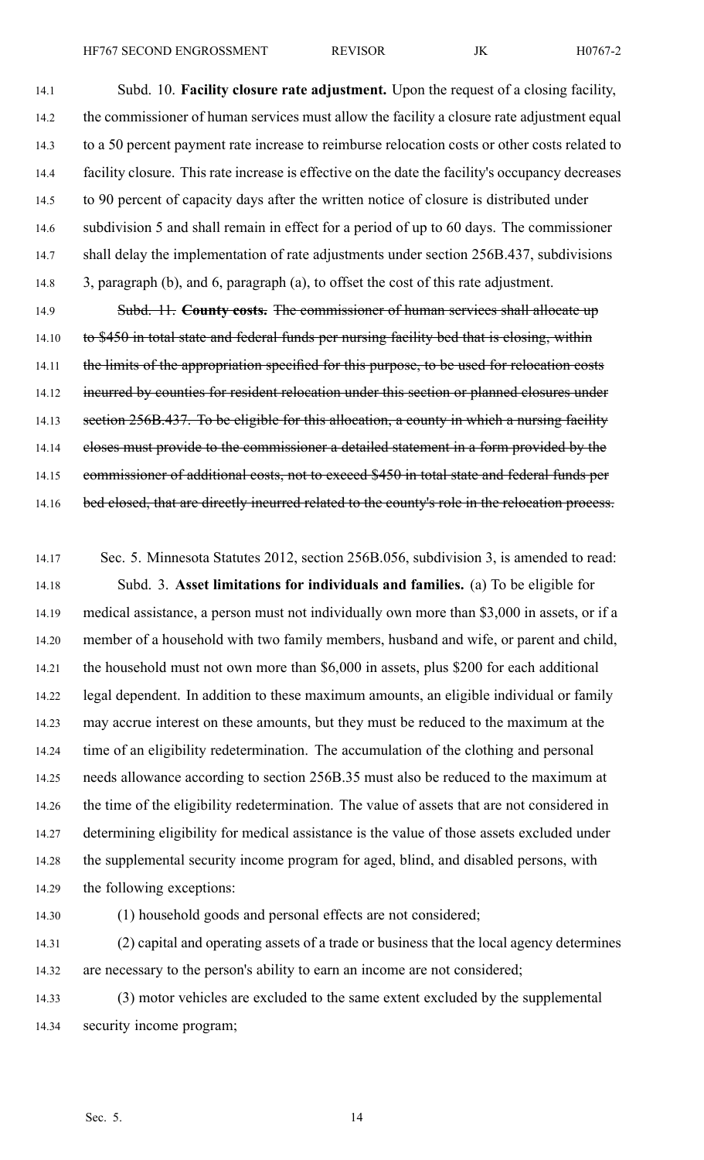14.1 Subd. 10. **Facility closure rate adjustment.** Upon the reques<sup>t</sup> of <sup>a</sup> closing facility, 14.2 the commissioner of human services must allow the facility <sup>a</sup> closure rate adjustment equal 14.3 to <sup>a</sup> 50 percen<sup>t</sup> paymen<sup>t</sup> rate increase to reimburse relocation costs or other costs related to 14.4 facility closure. This rate increase is effective on the date the facility's occupancy decreases 14.5 to 90 percen<sup>t</sup> of capacity days after the written notice of closure is distributed under 14.6 subdivision 5 and shall remain in effect for <sup>a</sup> period of up to 60 days. The commissioner 14.7 shall delay the implementation of rate adjustments under section 256B.437, subdivisions 14.8 3, paragraph (b), and 6, paragraph (a), to offset the cost of this rate adjustment.

14.9 Subd. 11. **County costs.** The commissioner of human services shall allocate up 14.10 to \$450 in total state and federal funds per nursing facility bed that is closing, within 14.11 the limits of the appropriation specified for this purpose, to be used for relocation costs 14.12 incurred by counties for resident relocation under this section or planned closures under 14.13 section 256B.437. To be eligible for this allocation, a county in which a nursing facility 14.14 closes must provide to the commissioner a detailed statement in a form provided by the 14.15 commissioner of additional costs, not to exceed \$450 in total state and federal funds per 14.16 bed closed, that are directly incurred related to the county's role in the relocation process.

14.17 Sec. 5. Minnesota Statutes 2012, section 256B.056, subdivision 3, is amended to read: 14.18 Subd. 3. **Asset limitations for individuals and families.** (a) To be eligible for 14.19 medical assistance, <sup>a</sup> person must not individually own more than \$3,000 in assets, or if <sup>a</sup> 14.20 member of <sup>a</sup> household with two family members, husband and wife, or paren<sup>t</sup> and child, 14.21 the household must not own more than \$6,000 in assets, plus \$200 for each additional 14.22 legal dependent. In addition to these maximum amounts, an eligible individual or family 14.23 may accrue interest on these amounts, but they must be reduced to the maximum at the 14.24 time of an eligibility redetermination. The accumulation of the clothing and personal 14.25 needs allowance according to section 256B.35 must also be reduced to the maximum at 14.26 the time of the eligibility redetermination. The value of assets that are not considered in 14.27 determining eligibility for medical assistance is the value of those assets excluded under 14.28 the supplemental security income program for aged, blind, and disabled persons, with 14.29 the following exceptions:

14.30 (1) household goods and personal effects are not considered;

14.31 (2) capital and operating assets of <sup>a</sup> trade or business that the local agency determines 14.32 are necessary to the person's ability to earn an income are not considered;

14.33 (3) motor vehicles are excluded to the same extent excluded by the supplemental 14.34 security income program;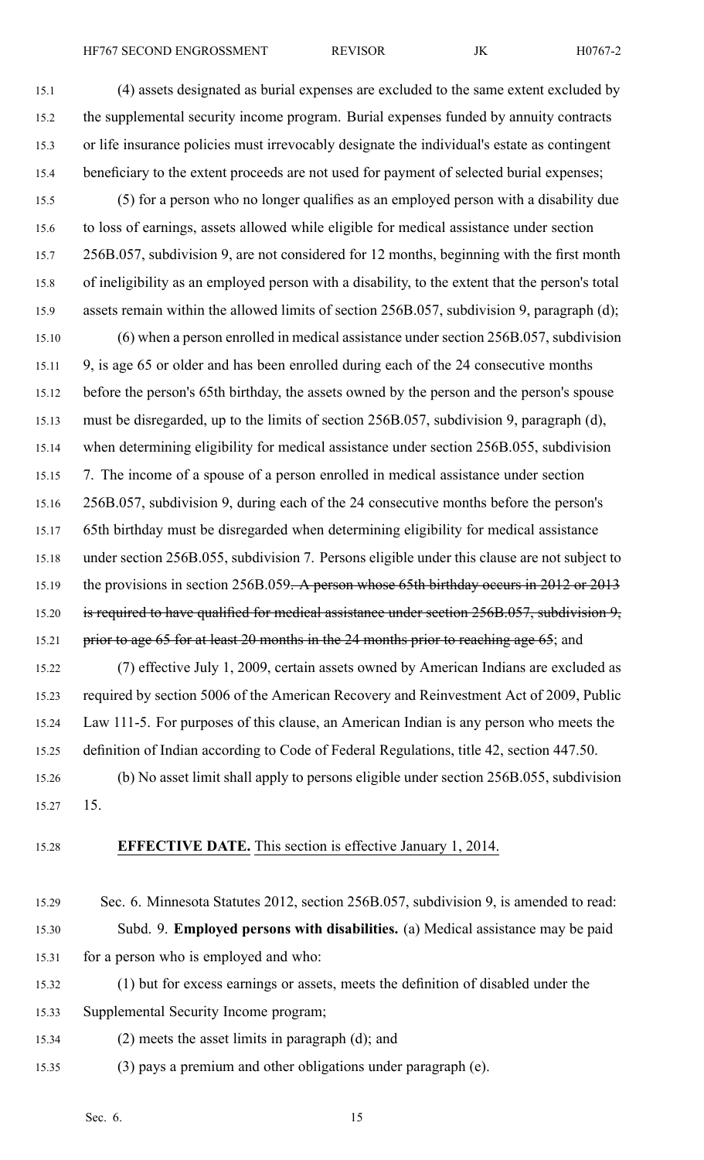HF767 SECOND ENGROSSMENT REVISOR JK H0767-2

- 15.1 (4) assets designated as burial expenses are excluded to the same extent excluded by 15.2 the supplemental security income program. Burial expenses funded by annuity contracts 15.3 or life insurance policies must irrevocably designate the individual's estate as contingent 15.4 beneficiary to the extent proceeds are not used for payment of selected burial expenses;
- 15.5 (5) for <sup>a</sup> person who no longer qualifies as an employed person with <sup>a</sup> disability due 15.6 to loss of earnings, assets allowed while eligible for medical assistance under section 15.7 256B.057, subdivision 9, are not considered for 12 months, beginning with the first month 15.8 of ineligibility as an employed person with <sup>a</sup> disability, to the extent that the person's total 15.9 assets remain within the allowed limits of section 256B.057, subdivision 9, paragraph (d);
- 15.10 (6) when <sup>a</sup> person enrolled in medical assistance under section 256B.057, subdivision 15.11 9, is age 65 or older and has been enrolled during each of the 24 consecutive months 15.12 before the person's 65th birthday, the assets owned by the person and the person's spouse 15.13 must be disregarded, up to the limits of section 256B.057, subdivision 9, paragraph (d), 15.14 when determining eligibility for medical assistance under section 256B.055, subdivision 15.15 7. The income of <sup>a</sup> spouse of <sup>a</sup> person enrolled in medical assistance under section 15.16 256B.057, subdivision 9, during each of the 24 consecutive months before the person's 15.17 65th birthday must be disregarded when determining eligibility for medical assistance 15.18 under section 256B.055, subdivision 7. Persons eligible under this clause are not subject to 15.19 the provisions in section 256B.059. A person whose 65th birthday occurs in 2012 or 2013 15.20 is required to have qualified for medical assistance under section 256B.057, subdivision 9, 15.21 prior to age 65 for at least 20 months in the 24 months prior to reaching age 65; and
- 15.22 (7) effective July 1, 2009, certain assets owned by American Indians are excluded as 15.23 required by section 5006 of the American Recovery and Reinvestment Act of 2009, Public 15.24 Law 111-5. For purposes of this clause, an American Indian is any person who meets the 15.25 definition of Indian according to Code of Federal Regulations, title 42, section 447.50.
- 15.26 (b) No asset limit shall apply to persons eligible under section 256B.055, subdivision 15.27 15.
- 

## 15.28 **EFFECTIVE DATE.** This section is effective January 1, 2014.

- 15.29 Sec. 6. Minnesota Statutes 2012, section 256B.057, subdivision 9, is amended to read: 15.30 Subd. 9. **Employed persons with disabilities.** (a) Medical assistance may be paid 15.31 for <sup>a</sup> person who is employed and who:
- 15.32 (1) but for excess earnings or assets, meets the definition of disabled under the
- 15.33 Supplemental Security Income program;
- 15.34 (2) meets the asset limits in paragraph (d); and
- 15.35 (3) pays <sup>a</sup> premium and other obligations under paragraph (e).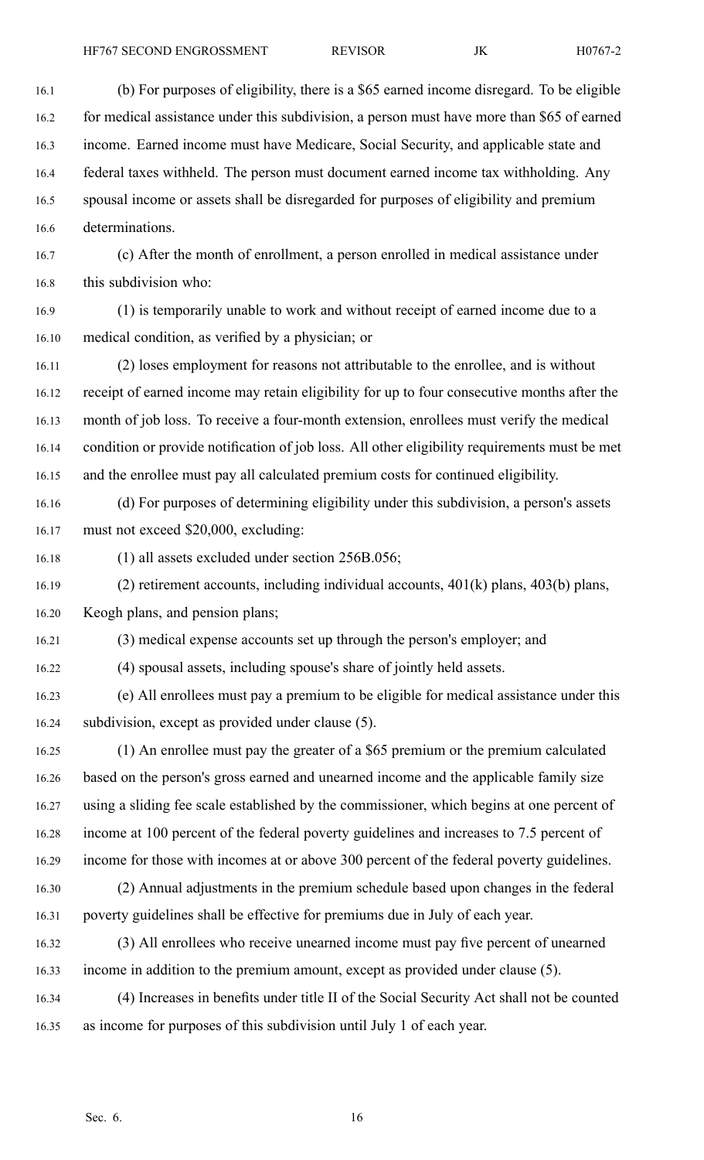16.1 (b) For purposes of eligibility, there is <sup>a</sup> \$65 earned income disregard. To be eligible 16.2 for medical assistance under this subdivision, a person must have more than \$65 of earned 16.3 income. Earned income must have Medicare, Social Security, and applicable state and 16.4 federal taxes withheld. The person must document earned income tax withholding. Any 16.5 spousal income or assets shall be disregarded for purposes of eligibility and premium 16.6 determinations. 16.7 (c) After the month of enrollment, <sup>a</sup> person enrolled in medical assistance under 16.8 this subdivision who: 16.9 (1) is temporarily unable to work and without receipt of earned income due to <sup>a</sup> 16.10 medical condition, as verified by <sup>a</sup> physician; or 16.11 (2) loses employment for reasons not attributable to the enrollee, and is without 16.12 receipt of earned income may retain eligibility for up to four consecutive months after the 16.13 month of job loss. To receive <sup>a</sup> four-month extension, enrollees must verify the medical 16.14 condition or provide notification of job loss. All other eligibility requirements must be met 16.15 and the enrollee must pay all calculated premium costs for continued eligibility. 16.16 (d) For purposes of determining eligibility under this subdivision, <sup>a</sup> person's assets 16.17 must not exceed \$20,000, excluding: 16.18 (1) all assets excluded under section 256B.056; 16.19 (2) retirement accounts, including individual accounts, 401(k) plans, 403(b) plans, 16.20 Keogh plans, and pension plans; 16.21 (3) medical expense accounts set up through the person's employer; and 16.22 (4) spousal assets, including spouse's share of jointly held assets. 16.23 (e) All enrollees must pay <sup>a</sup> premium to be eligible for medical assistance under this 16.24 subdivision, excep<sup>t</sup> as provided under clause (5). 16.25 (1) An enrollee must pay the greater of <sup>a</sup> \$65 premium or the premium calculated 16.26 based on the person's gross earned and unearned income and the applicable family size 16.27 using <sup>a</sup> sliding fee scale established by the commissioner, which begins at one percen<sup>t</sup> of 16.28 income at 100 percen<sup>t</sup> of the federal poverty guidelines and increases to 7.5 percen<sup>t</sup> of 16.29 income for those with incomes at or above 300 percen<sup>t</sup> of the federal poverty guidelines. 16.30 (2) Annual adjustments in the premium schedule based upon changes in the federal 16.31 poverty guidelines shall be effective for premiums due in July of each year. 16.32 (3) All enrollees who receive unearned income must pay five percen<sup>t</sup> of unearned 16.33 income in addition to the premium amount, excep<sup>t</sup> as provided under clause (5). 16.34 (4) Increases in benefits under title II of the Social Security Act shall not be counted 16.35 as income for purposes of this subdivision until July 1 of each year.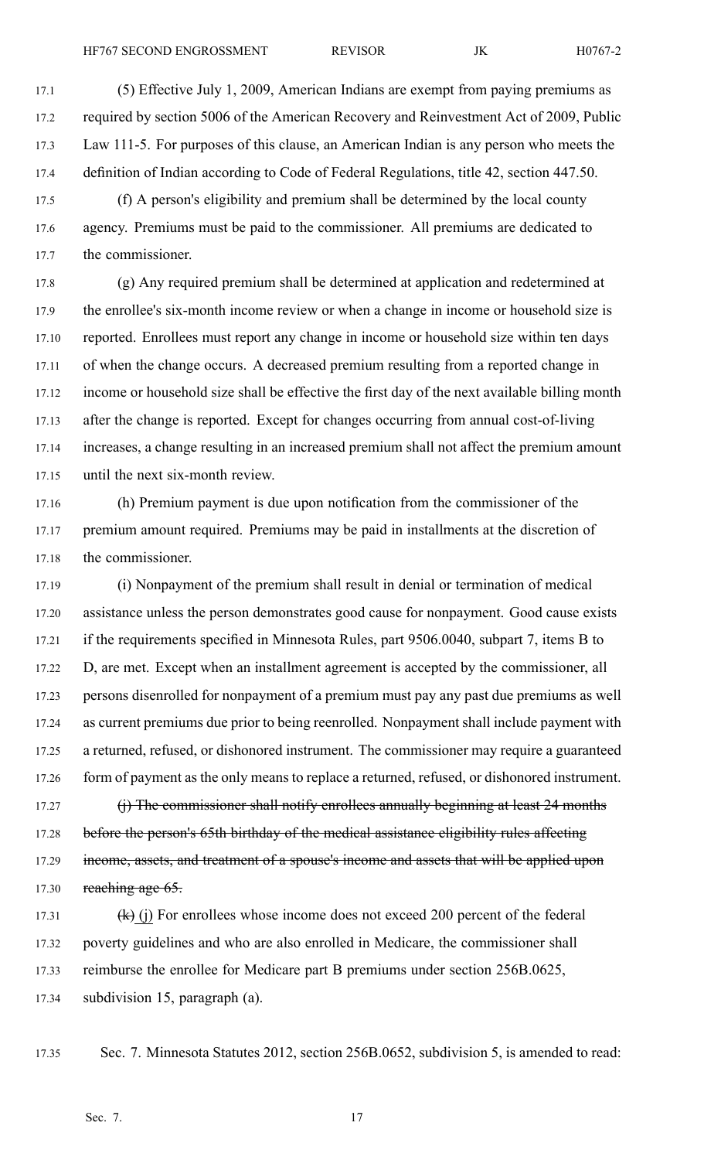17.5 (f) A person's eligibility and premium shall be determined by the local county 17.6 agency. Premiums must be paid to the commissioner. All premiums are dedicated to 17.7 the commissioner.

17.8 (g) Any required premium shall be determined at application and redetermined at 17.9 the enrollee's six-month income review or when <sup>a</sup> change in income or household size is 17.10 reported. Enrollees must repor<sup>t</sup> any change in income or household size within ten days 17.11 of when the change occurs. A decreased premium resulting from <sup>a</sup> reported change in 17.12 income or household size shall be effective the first day of the next available billing month 17.13 after the change is reported. Except for changes occurring from annual cost-of-living 17.14 increases, <sup>a</sup> change resulting in an increased premium shall not affect the premium amount 17.15 until the next six-month review.

17.16 (h) Premium paymen<sup>t</sup> is due upon notification from the commissioner of the 17.17 premium amount required. Premiums may be paid in installments at the discretion of 17.18 the commissioner.

17.19 (i) Nonpayment of the premium shall result in denial or termination of medical 17.20 assistance unless the person demonstrates good cause for nonpayment. Good cause exists 17.21 if the requirements specified in Minnesota Rules, par<sup>t</sup> 9506.0040, subpart 7, items B to 17.22 D, are met. Except when an installment agreemen<sup>t</sup> is accepted by the commissioner, all 17.23 persons disenrolled for nonpaymen<sup>t</sup> of <sup>a</sup> premium must pay any pas<sup>t</sup> due premiums as well 17.24 as current premiums due prior to being reenrolled. Nonpayment shall include paymen<sup>t</sup> with 17.25 <sup>a</sup> returned, refused, or dishonored instrument. The commissioner may require <sup>a</sup> guaranteed 17.26 form of payment as the only means to replace a returned, refused, or dishonored instrument.

17.27 (i) The commissioner shall notify enrollees annually beginning at least 24 months 17.28 before the person's 65th birthday of the medical assistance eligibility rules affecting 17.29 income, assets, and treatment of a spouse's income and assets that will be applied upon 17.30 reaching age  $65$ .

17.31  $(k)$  (j) For enrollees whose income does not exceed 200 percent of the federal 17.32 poverty guidelines and who are also enrolled in Medicare, the commissioner shall 17.33 reimburse the enrollee for Medicare par<sup>t</sup> B premiums under section 256B.0625, 17.34 subdivision 15, paragraph (a).

17.35 Sec. 7. Minnesota Statutes 2012, section 256B.0652, subdivision 5, is amended to read: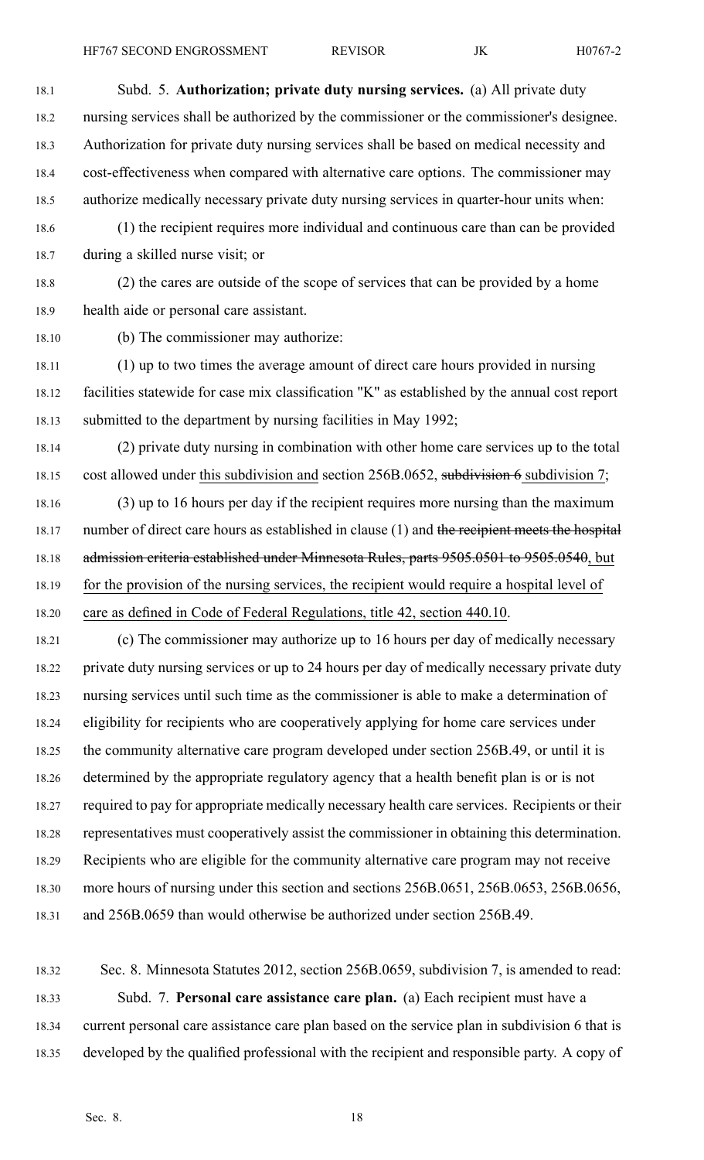18.1 Subd. 5. **Authorization; private duty nursing services.** (a) All private duty 18.2 nursing services shall be authorized by the commissioner or the commissioner's designee. 18.3 Authorization for private duty nursing services shall be based on medical necessity and 18.4 cost-effectiveness when compared with alternative care options. The commissioner may 18.5 authorize medically necessary private duty nursing services in quarter-hour units when: 18.6 (1) the recipient requires more individual and continuous care than can be provided 18.7 during <sup>a</sup> skilled nurse visit; or 18.8 (2) the cares are outside of the scope of services that can be provided by <sup>a</sup> home 18.9 health aide or personal care assistant. 18.10 (b) The commissioner may authorize: 18.11 (1) up to two times the average amount of direct care hours provided in nursing 18.12 facilities statewide for case mix classification "K" as established by the annual cost repor<sup>t</sup> 18.13 submitted to the department by nursing facilities in May 1992; 18.14 (2) private duty nursing in combination with other home care services up to the total 18.15 cost allowed under this subdivision and section 256B.0652, subdivision 6 subdivision 7; 18.16 (3) up to 16 hours per day if the recipient requires more nursing than the maximum 18.17 number of direct care hours as established in clause (1) and the recipient meets the hospital 18.18 admission criteria established under Minnesota Rules, parts 9505.0501 to 9505.0540, but 18.19 for the provision of the nursing services, the recipient would require <sup>a</sup> hospital level of 18.20 care as defined in Code of Federal Regulations, title 42, section 440.10. 18.21 (c) The commissioner may authorize up to 16 hours per day of medically necessary 18.22 private duty nursing services or up to 24 hours per day of medically necessary private duty 18.23 nursing services until such time as the commissioner is able to make <sup>a</sup> determination of 18.24 eligibility for recipients who are cooperatively applying for home care services under 18.25 the community alternative care program developed under section 256B.49, or until it is 18.26 determined by the appropriate regulatory agency that <sup>a</sup> health benefit plan is or is not 18.27 required to pay for appropriate medically necessary health care services. Recipients or their 18.28 representatives must cooperatively assist the commissioner in obtaining this determination. 18.29 Recipients who are eligible for the community alternative care program may not receive 18.30 more hours of nursing under this section and sections 256B.0651, 256B.0653, 256B.0656, 18.31 and 256B.0659 than would otherwise be authorized under section 256B.49.

18.32 Sec. 8. Minnesota Statutes 2012, section 256B.0659, subdivision 7, is amended to read: 18.33 Subd. 7. **Personal care assistance care plan.** (a) Each recipient must have <sup>a</sup> 18.34 current personal care assistance care plan based on the service plan in subdivision 6 that is 18.35 developed by the qualified professional with the recipient and responsible party. A copy of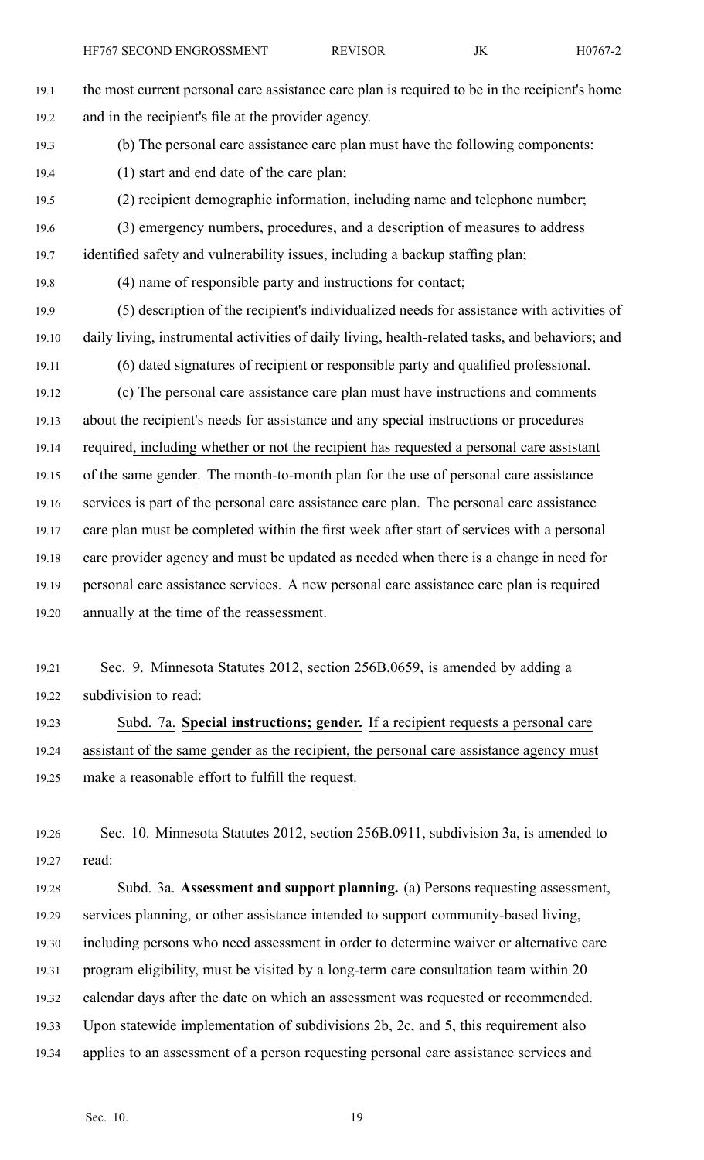- 19.1 the most current personal care assistance care plan is required to be in the recipient's home 19.2 and in the recipient's file at the provider agency. 19.3 (b) The personal care assistance care plan must have the following components: 19.4 (1) start and end date of the care plan; 19.5 (2) recipient demographic information, including name and telephone number; 19.6 (3) emergency numbers, procedures, and <sup>a</sup> description of measures to address 19.7 identified safety and vulnerability issues, including <sup>a</sup> backup staffing plan; 19.8 (4) name of responsible party and instructions for contact; 19.9 (5) description of the recipient's individualized needs for assistance with activities of 19.10 daily living, instrumental activities of daily living, health-related tasks, and behaviors; and 19.11 (6) dated signatures of recipient or responsible party and qualified professional. 19.12 (c) The personal care assistance care plan must have instructions and comments 19.13 about the recipient's needs for assistance and any special instructions or procedures 19.14 required, including whether or not the recipient has requested <sup>a</sup> personal care assistant 19.15 of the same gender. The month-to-month plan for the use of personal care assistance 19.16 services is par<sup>t</sup> of the personal care assistance care plan. The personal care assistance 19.17 care plan must be completed within the first week after start of services with <sup>a</sup> personal 19.18 care provider agency and must be updated as needed when there is <sup>a</sup> change in need for 19.19 personal care assistance services. A new personal care assistance care plan is required 19.20 annually at the time of the reassessment.
- 19.21 Sec. 9. Minnesota Statutes 2012, section 256B.0659, is amended by adding <sup>a</sup> 19.22 subdivision to read:

19.23 Subd. 7a. **Special instructions; gender.** If <sup>a</sup> recipient requests <sup>a</sup> personal care 19.24 assistant of the same gender as the recipient, the personal care assistance agency must 19.25 make <sup>a</sup> reasonable effort to fulfill the request.

19.26 Sec. 10. Minnesota Statutes 2012, section 256B.0911, subdivision 3a, is amended to 19.27 read:

19.28 Subd. 3a. **Assessment and suppor<sup>t</sup> planning.** (a) Persons requesting assessment, 19.29 services planning, or other assistance intended to suppor<sup>t</sup> community-based living, 19.30 including persons who need assessment in order to determine waiver or alternative care 19.31 program eligibility, must be visited by <sup>a</sup> long-term care consultation team within 20 19.32 calendar days after the date on which an assessment was requested or recommended. 19.33 Upon statewide implementation of subdivisions 2b, 2c, and 5, this requirement also 19.34 applies to an assessment of <sup>a</sup> person requesting personal care assistance services and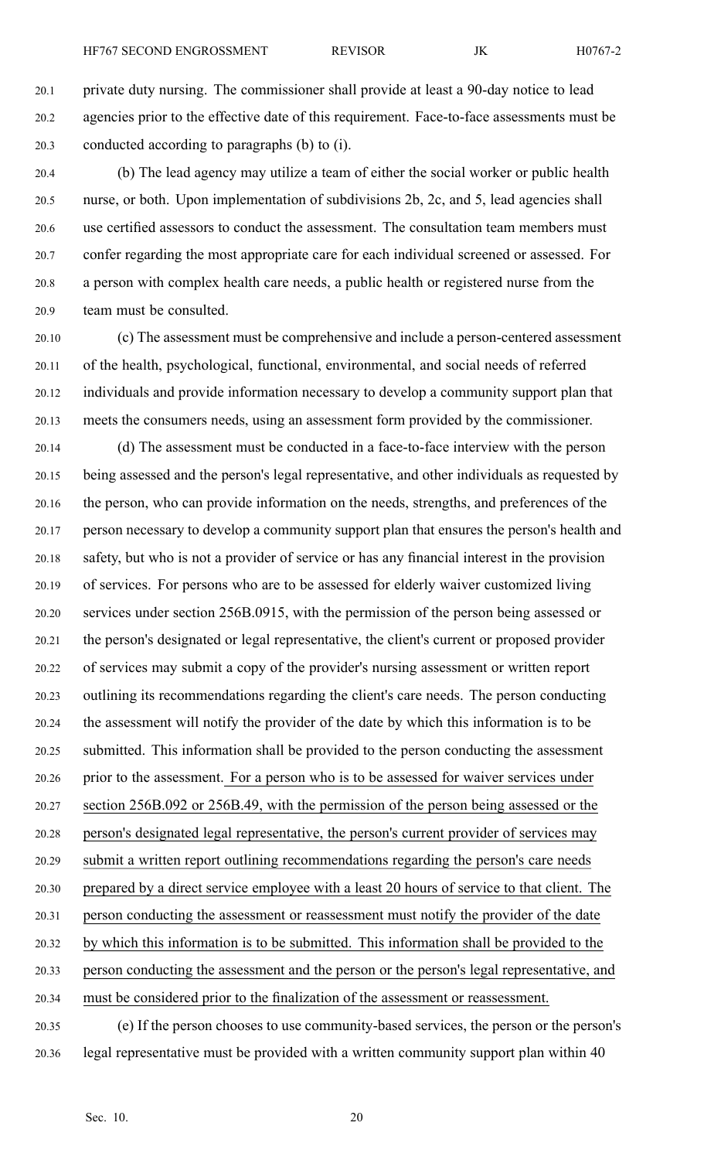20.1 private duty nursing. The commissioner shall provide at least <sup>a</sup> 90-day notice to lead 20.2 agencies prior to the effective date of this requirement. Face-to-face assessments must be 20.3 conducted according to paragraphs (b) to (i).

20.4 (b) The lead agency may utilize <sup>a</sup> team of either the social worker or public health 20.5 nurse, or both. Upon implementation of subdivisions 2b, 2c, and 5, lead agencies shall 20.6 use certified assessors to conduct the assessment. The consultation team members must 20.7 confer regarding the most appropriate care for each individual screened or assessed. For 20.8 <sup>a</sup> person with complex health care needs, <sup>a</sup> public health or registered nurse from the 20.9 team must be consulted.

20.10 (c) The assessment must be comprehensive and include <sup>a</sup> person-centered assessment 20.11 of the health, psychological, functional, environmental, and social needs of referred 20.12 individuals and provide information necessary to develop <sup>a</sup> community suppor<sup>t</sup> plan that 20.13 meets the consumers needs, using an assessment form provided by the commissioner.

20.14 (d) The assessment must be conducted in <sup>a</sup> face-to-face interview with the person 20.15 being assessed and the person's legal representative, and other individuals as requested by 20.16 the person, who can provide information on the needs, strengths, and preferences of the 20.17 person necessary to develop <sup>a</sup> community suppor<sup>t</sup> plan that ensures the person's health and 20.18 safety, but who is not <sup>a</sup> provider of service or has any financial interest in the provision 20.19 of services. For persons who are to be assessed for elderly waiver customized living 20.20 services under section 256B.0915, with the permission of the person being assessed or 20.21 the person's designated or legal representative, the client's current or proposed provider 20.22 of services may submit <sup>a</sup> copy of the provider's nursing assessment or written repor<sup>t</sup> 20.23 outlining its recommendations regarding the client's care needs. The person conducting 20.24 the assessment will notify the provider of the date by which this information is to be 20.25 submitted. This information shall be provided to the person conducting the assessment 20.26 prior to the assessment. For <sup>a</sup> person who is to be assessed for waiver services under 20.27 section 256B.092 or 256B.49, with the permission of the person being assessed or the 20.28 person's designated legal representative, the person's current provider of services may 20.29 submit <sup>a</sup> written repor<sup>t</sup> outlining recommendations regarding the person's care needs 20.30 prepared by <sup>a</sup> direct service employee with <sup>a</sup> least 20 hours of service to that client. The 20.31 person conducting the assessment or reassessment must notify the provider of the date 20.32 by which this information is to be submitted. This information shall be provided to the 20.33 person conducting the assessment and the person or the person's legal representative, and 20.34 must be considered prior to the finalization of the assessment or reassessment. 20.35 (e) If the person chooses to use community-based services, the person or the person's

20.36 legal representative must be provided with <sup>a</sup> written community suppor<sup>t</sup> plan within 40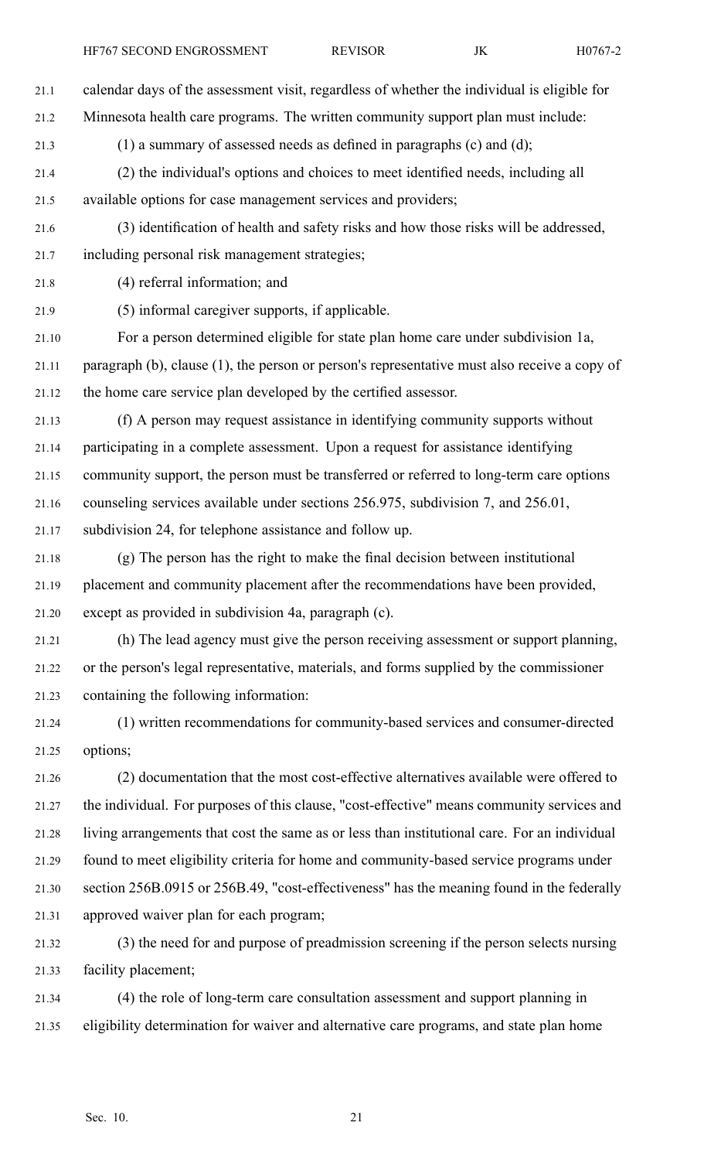21.1 calendar days of the assessment visit, regardless of whether the individual is eligible for 21.2 Minnesota health care programs. The written community suppor<sup>t</sup> plan must include: 21.3 (1) <sup>a</sup> summary of assessed needs as defined in paragraphs (c) and (d); 21.4 (2) the individual's options and choices to meet identified needs, including all 21.5 available options for case managemen<sup>t</sup> services and providers; 21.6 (3) identification of health and safety risks and how those risks will be addressed, 21.7 including personal risk managemen<sup>t</sup> strategies; 21.8 (4) referral information; and 21.9 (5) informal caregiver supports, if applicable.

21.10 For <sup>a</sup> person determined eligible for state plan home care under subdivision 1a, 21.11 paragraph (b), clause (1), the person or person's representative must also receive <sup>a</sup> copy of 21.12 the home care service plan developed by the certified assessor.

21.13 (f) A person may reques<sup>t</sup> assistance in identifying community supports without 21.14 participating in <sup>a</sup> complete assessment. Upon <sup>a</sup> reques<sup>t</sup> for assistance identifying 21.15 community support, the person must be transferred or referred to long-term care options 21.16 counseling services available under sections 256.975, subdivision 7, and 256.01, 21.17 subdivision 24, for telephone assistance and follow up.

21.18 (g) The person has the right to make the final decision between institutional 21.19 placement and community placement after the recommendations have been provided, 21.20 excep<sup>t</sup> as provided in subdivision 4a, paragraph (c).

21.21 (h) The lead agency must give the person receiving assessment or suppor<sup>t</sup> planning, 21.22 or the person's legal representative, materials, and forms supplied by the commissioner 21.23 containing the following information:

21.24 (1) written recommendations for community-based services and consumer-directed 21.25 options;

21.26 (2) documentation that the most cost-effective alternatives available were offered to 21.27 the individual. For purposes of this clause, "cost-effective" means community services and 21.28 living arrangements that cost the same as or less than institutional care. For an individual 21.29 found to meet eligibility criteria for home and community-based service programs under 21.30 section 256B.0915 or 256B.49, "cost-effectiveness" has the meaning found in the federally 21.31 approved waiver plan for each program;

21.32 (3) the need for and purpose of preadmission screening if the person selects nursing 21.33 facility placement;

21.34 (4) the role of long-term care consultation assessment and suppor<sup>t</sup> planning in 21.35 eligibility determination for waiver and alternative care programs, and state plan home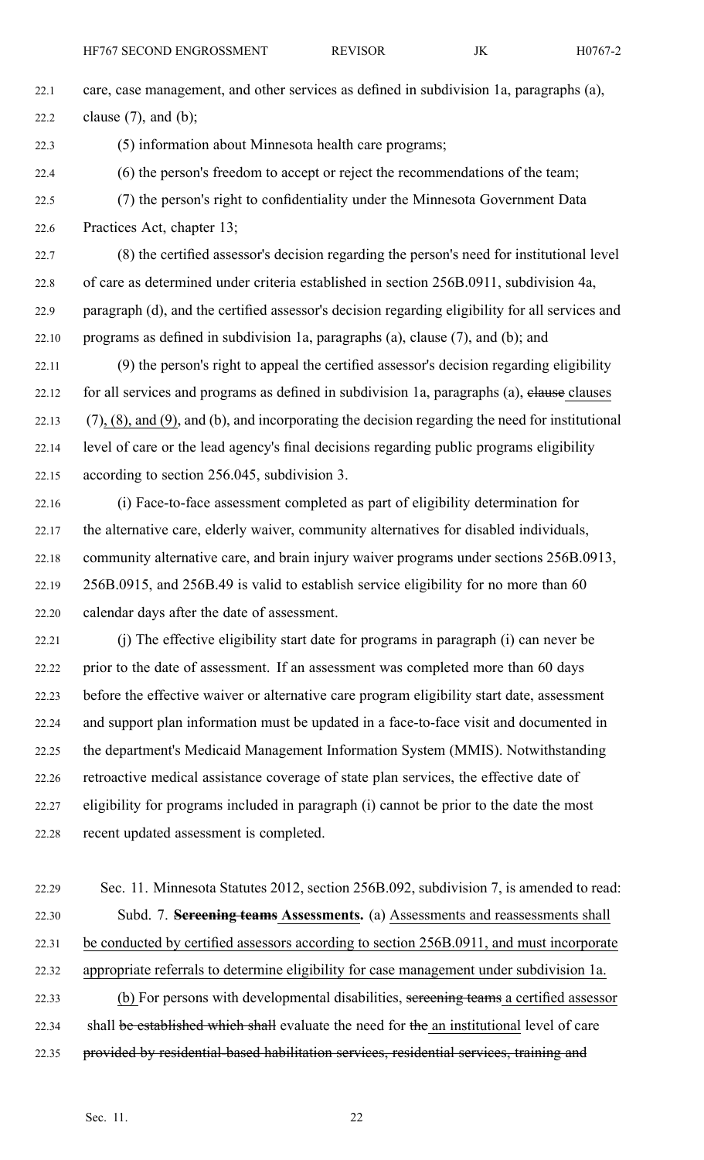22.1 care, case management, and other services as defined in subdivision 1a, paragraphs (a), 22.2 clause  $(7)$ , and  $(b)$ ;

22.3 (5) information about Minnesota health care programs;

- 22.4 (6) the person's freedom to accep<sup>t</sup> or reject the recommendations of the team;
- 22.5 (7) the person's right to confidentiality under the Minnesota Government Data 22.6 Practices Act, chapter 13;

22.7 (8) the certified assessor's decision regarding the person's need for institutional level 22.8 of care as determined under criteria established in section 256B.0911, subdivision 4a, 22.9 paragraph (d), and the certified assessor's decision regarding eligibility for all services and 22.10 programs as defined in subdivision 1a, paragraphs (a), clause  $(7)$ , and  $(b)$ ; and

22.11 (9) the person's right to appeal the certified assessor's decision regarding eligibility 22.12 for all services and programs as defined in subdivision 1a, paragraphs (a), elause clauses  $22.13$  (7), (8), and (9), and (b), and incorporating the decision regarding the need for institutional 22.14 level of care or the lead agency's final decisions regarding public programs eligibility 22.15 according to section 256.045, subdivision 3.

22.16 (i) Face-to-face assessment completed as par<sup>t</sup> of eligibility determination for 22.17 the alternative care, elderly waiver, community alternatives for disabled individuals, 22.18 community alternative care, and brain injury waiver programs under sections 256B.0913, 22.19 256B.0915, and 256B.49 is valid to establish service eligibility for no more than 60 22.20 calendar days after the date of assessment.

22.21 (j) The effective eligibility start date for programs in paragraph (i) can never be 22.22 prior to the date of assessment. If an assessment was completed more than 60 days 22.23 before the effective waiver or alternative care program eligibility start date, assessment 22.24 and suppor<sup>t</sup> plan information must be updated in <sup>a</sup> face-to-face visit and documented in 22.25 the department's Medicaid Management Information System (MMIS). Notwithstanding 22.26 retroactive medical assistance coverage of state plan services, the effective date of 22.27 eligibility for programs included in paragraph (i) cannot be prior to the date the most 22.28 recent updated assessment is completed.

22.29 Sec. 11. Minnesota Statutes 2012, section 256B.092, subdivision 7, is amended to read: 22.30 Subd. 7. **Screening teams Assessments.** (a) Assessments and reassessments shall 22.31 be conducted by certified assessors according to section 256B.0911, and must incorporate 22.32 appropriate referrals to determine eligibility for case managemen<sup>t</sup> under subdivision 1a. 22.33 (b) For persons with developmental disabilities, sereening teams a certified assessor 22.34 shall be established which shall evaluate the need for the an institutional level of care 22.35 provided by residential-based habilitation services, residential services, training and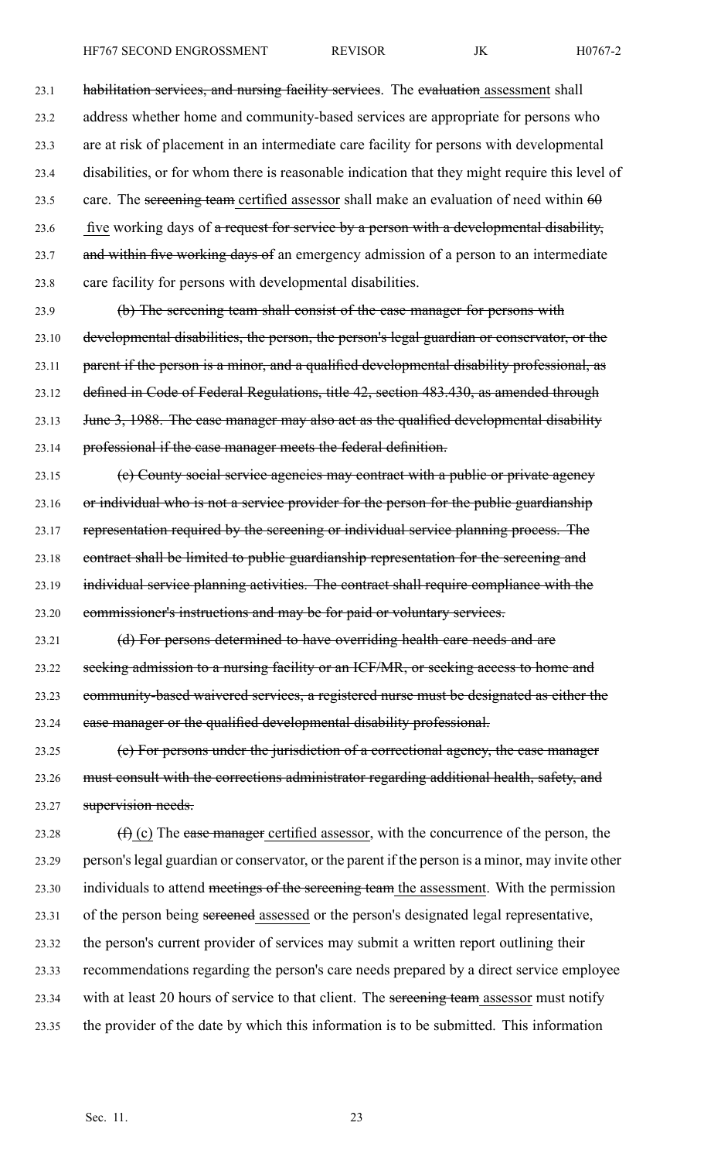HF767 SECOND ENGROSSMENT REVISOR JK H0767-2

23.1 habilitation services, and nursing facility services. The evaluation assessment shall 23.2 address whether home and community-based services are appropriate for persons who 23.3 are at risk of placement in an intermediate care facility for persons with developmental 23.4 disabilities, or for whom there is reasonable indication that they might require this level of 23.5 care. The sereening team certified assessor shall make an evaluation of need within  $60$ 23.6 five working days of a request for service by a person with a developmental disability, 23.7 and within five working days of an emergency admission of a person to an intermediate 23.8 care facility for persons with developmental disabilities.

23.9 (b) The screening team shall consist of the case manager for persons with 23.10 developmental disabilities, the person, the person's legal guardian or conservator, or the 23.11 parent if the person is a minor, and a qualified developmental disability professional, as 23.12 defined in Code of Federal Regulations, title 42, section 483.430, as amended through 23.13 June 3, 1988. The case manager may also act as the qualified developmental disability 23.14 professional if the case manager meets the federal definition.

23.15 (e) County social service agencies may contract with a public or private agency 23.16 or individual who is not <sup>a</sup> service provider for the person for the public guardianship 23.17 representation required by the screening or individual service planning process. The 23.18 contract shall be limited to public guardianship representation for the screening and 23.19 individual service planning activities. The contract shall require compliance with the 23.20 commissioner's instructions and may be for paid or voluntary services.

23.21 (d) For persons determined to have overriding health care needs and are 23.22 seeking admission to a nursing facility or an ICF/MR, or seeking access to home and 23.23 community-based waivered services, <sup>a</sup> registered nurse must be designated as either the 23.24 case manager or the qualified developmental disability professional.

23.25 (e) For persons under the jurisdiction of <sup>a</sup> correctional agency, the case manager 23.26 must consult with the corrections administrator regarding additional health, safety, and 23.27 supervision needs.

23.28  $(f)$  (c) The ease manager certified assessor, with the concurrence of the person, the 23.29 person'slegal guardian or conservator, or the paren<sup>t</sup> if the person is <sup>a</sup> minor, may invite other 23.30 individuals to attend meetings of the screening team the assessment. With the permission 23.31 of the person being sereened assessed or the person's designated legal representative, 23.32 the person's current provider of services may submit <sup>a</sup> written repor<sup>t</sup> outlining their 23.33 recommendations regarding the person's care needs prepared by <sup>a</sup> direct service employee 23.34 with at least 20 hours of service to that client. The sereening team assessor must notify 23.35 the provider of the date by which this information is to be submitted. This information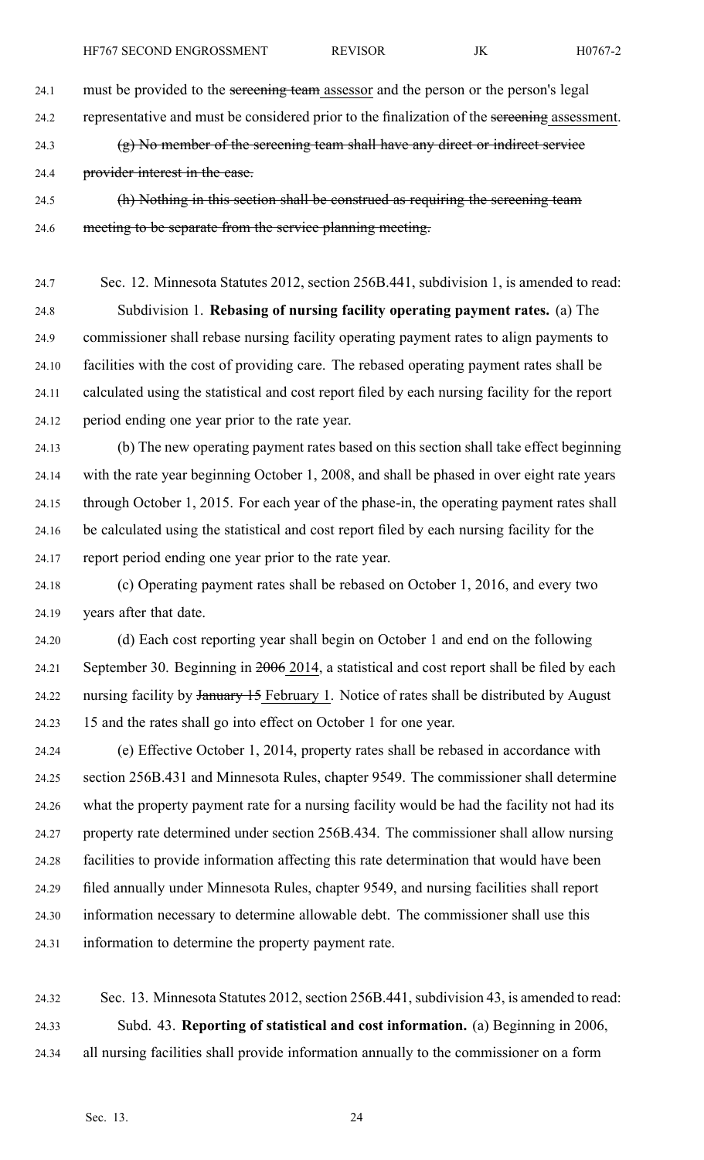24.1 must be provided to the sereening team assessor and the person or the person's legal

24.2 representative and must be considered prior to the finalization of the screening assessment.

24.3 (g) No member of the screening team shall have any direct or indirect service

24.4 provider interest in the case.

24.5 (h) Nothing in this section shall be construed as requiring the screening team 24.6 meeting to be separate from the service planning meeting.

24.7 Sec. 12. Minnesota Statutes 2012, section 256B.441, subdivision 1, is amended to read: 24.8 Subdivision 1. **Rebasing of nursing facility operating paymen<sup>t</sup> rates.** (a) The 24.9 commissioner shall rebase nursing facility operating paymen<sup>t</sup> rates to align payments to 24.10 facilities with the cost of providing care. The rebased operating paymen<sup>t</sup> rates shall be 24.11 calculated using the statistical and cost repor<sup>t</sup> filed by each nursing facility for the repor<sup>t</sup> 24.12 period ending one year prior to the rate year.

24.13 (b) The new operating paymen<sup>t</sup> rates based on this section shall take effect beginning 24.14 with the rate year beginning October 1, 2008, and shall be phased in over eight rate years 24.15 through October 1, 2015. For each year of the phase-in, the operating paymen<sup>t</sup> rates shall 24.16 be calculated using the statistical and cost repor<sup>t</sup> filed by each nursing facility for the 24.17 repor<sup>t</sup> period ending one year prior to the rate year.

24.18 (c) Operating paymen<sup>t</sup> rates shall be rebased on October 1, 2016, and every two 24.19 years after that date.

24.20 (d) Each cost reporting year shall begin on October 1 and end on the following 24.21 September 30. Beginning in 2006 2014, <sup>a</sup> statistical and cost repor<sup>t</sup> shall be filed by each 24.22 nursing facility by January 15 February 1. Notice of rates shall be distributed by August 24.23 15 and the rates shall go into effect on October 1 for one year.

24.24 (e) Effective October 1, 2014, property rates shall be rebased in accordance with 24.25 section 256B.431 and Minnesota Rules, chapter 9549. The commissioner shall determine 24.26 what the property paymen<sup>t</sup> rate for <sup>a</sup> nursing facility would be had the facility not had its 24.27 property rate determined under section 256B.434. The commissioner shall allow nursing 24.28 facilities to provide information affecting this rate determination that would have been 24.29 filed annually under Minnesota Rules, chapter 9549, and nursing facilities shall repor<sup>t</sup> 24.30 information necessary to determine allowable debt. The commissioner shall use this 24.31 information to determine the property paymen<sup>t</sup> rate.

24.32 Sec. 13. Minnesota Statutes 2012, section 256B.441, subdivision 43, is amended to read: 24.33 Subd. 43. **Reporting of statistical and cost information.** (a) Beginning in 2006, 24.34 all nursing facilities shall provide information annually to the commissioner on <sup>a</sup> form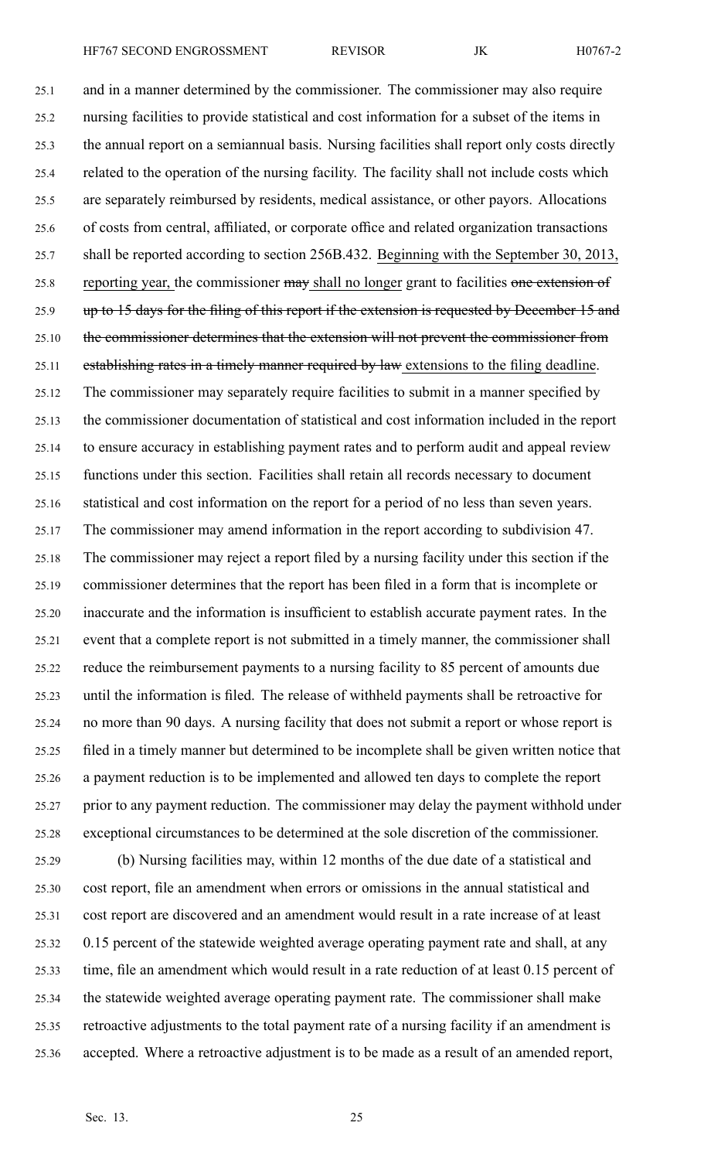25.1 and in <sup>a</sup> manner determined by the commissioner. The commissioner may also require 25.2 nursing facilities to provide statistical and cost information for <sup>a</sup> subset of the items in 25.3 the annual repor<sup>t</sup> on <sup>a</sup> semiannual basis. Nursing facilities shall repor<sup>t</sup> only costs directly 25.4 related to the operation of the nursing facility. The facility shall not include costs which 25.5 are separately reimbursed by residents, medical assistance, or other payors. Allocations 25.6 of costs from central, affiliated, or corporate office and related organization transactions 25.7 shall be reported according to section 256B.432. Beginning with the September 30, 2013, 25.8 reporting year, the commissioner may shall no longer grant to facilities one extension of 25.9 up to 15 days for the filing of this report if the extension is requested by December 15 and 25.10 the commissioner determines that the extension will not prevent the commissioner from 25.11 establishing rates in a timely manner required by law extensions to the filing deadline. 25.12 The commissioner may separately require facilities to submit in <sup>a</sup> manner specified by 25.13 the commissioner documentation of statistical and cost information included in the repor<sup>t</sup> 25.14 to ensure accuracy in establishing paymen<sup>t</sup> rates and to perform audit and appeal review 25.15 functions under this section. Facilities shall retain all records necessary to document 25.16 statistical and cost information on the repor<sup>t</sup> for <sup>a</sup> period of no less than seven years. 25.17 The commissioner may amend information in the repor<sup>t</sup> according to subdivision 47. 25.18 The commissioner may reject <sup>a</sup> repor<sup>t</sup> filed by <sup>a</sup> nursing facility under this section if the 25.19 commissioner determines that the repor<sup>t</sup> has been filed in <sup>a</sup> form that is incomplete or 25.20 inaccurate and the information is insufficient to establish accurate paymen<sup>t</sup> rates. In the 25.21 event that <sup>a</sup> complete repor<sup>t</sup> is not submitted in <sup>a</sup> timely manner, the commissioner shall 25.22 reduce the reimbursement payments to <sup>a</sup> nursing facility to 85 percen<sup>t</sup> of amounts due 25.23 until the information is filed. The release of withheld payments shall be retroactive for 25.24 no more than 90 days. A nursing facility that does not submit <sup>a</sup> repor<sup>t</sup> or whose repor<sup>t</sup> is 25.25 filed in <sup>a</sup> timely manner but determined to be incomplete shall be given written notice that 25.26 <sup>a</sup> paymen<sup>t</sup> reduction is to be implemented and allowed ten days to complete the repor<sup>t</sup> 25.27 prior to any paymen<sup>t</sup> reduction. The commissioner may delay the paymen<sup>t</sup> withhold under 25.28 exceptional circumstances to be determined at the sole discretion of the commissioner.

25.29 (b) Nursing facilities may, within 12 months of the due date of <sup>a</sup> statistical and 25.30 cost report, file an amendment when errors or omissions in the annual statistical and 25.31 cost repor<sup>t</sup> are discovered and an amendment would result in <sup>a</sup> rate increase of at least 25.32 0.15 percen<sup>t</sup> of the statewide weighted average operating paymen<sup>t</sup> rate and shall, at any 25.33 time, file an amendment which would result in <sup>a</sup> rate reduction of at least 0.15 percen<sup>t</sup> of 25.34 the statewide weighted average operating paymen<sup>t</sup> rate. The commissioner shall make 25.35 retroactive adjustments to the total paymen<sup>t</sup> rate of <sup>a</sup> nursing facility if an amendment is 25.36 accepted. Where <sup>a</sup> retroactive adjustment is to be made as <sup>a</sup> result of an amended report,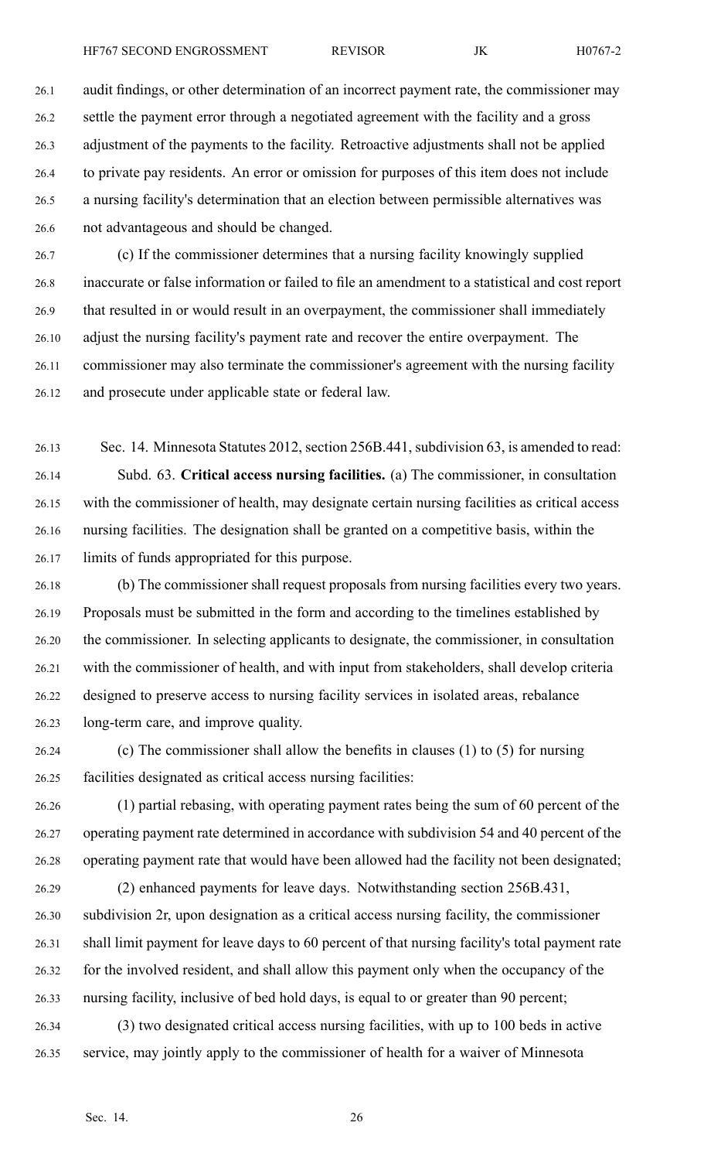26.1 audit findings, or other determination of an incorrect paymen<sup>t</sup> rate, the commissioner may 26.2 settle the paymen<sup>t</sup> error through <sup>a</sup> negotiated agreemen<sup>t</sup> with the facility and <sup>a</sup> gross 26.3 adjustment of the payments to the facility. Retroactive adjustments shall not be applied 26.4 to private pay residents. An error or omission for purposes of this item does not include 26.5 <sup>a</sup> nursing facility's determination that an election between permissible alternatives was 26.6 not advantageous and should be changed.

26.7 (c) If the commissioner determines that <sup>a</sup> nursing facility knowingly supplied 26.8 inaccurate or false information or failed to file an amendment to <sup>a</sup> statistical and cost repor<sup>t</sup> 26.9 that resulted in or would result in an overpayment, the commissioner shall immediately 26.10 adjust the nursing facility's paymen<sup>t</sup> rate and recover the entire overpayment. The 26.11 commissioner may also terminate the commissioner's agreemen<sup>t</sup> with the nursing facility 26.12 and prosecute under applicable state or federal law.

26.13 Sec. 14. Minnesota Statutes 2012, section 256B.441, subdivision 63, is amended to read: 26.14 Subd. 63. **Critical access nursing facilities.** (a) The commissioner, in consultation 26.15 with the commissioner of health, may designate certain nursing facilities as critical access 26.16 nursing facilities. The designation shall be granted on <sup>a</sup> competitive basis, within the 26.17 limits of funds appropriated for this purpose.

26.18 (b) The commissioner shall reques<sup>t</sup> proposals from nursing facilities every two years. 26.19 Proposals must be submitted in the form and according to the timelines established by 26.20 the commissioner. In selecting applicants to designate, the commissioner, in consultation 26.21 with the commissioner of health, and with input from stakeholders, shall develop criteria 26.22 designed to preserve access to nursing facility services in isolated areas, rebalance 26.23 long-term care, and improve quality.

26.24 (c) The commissioner shall allow the benefits in clauses (1) to (5) for nursing 26.25 facilities designated as critical access nursing facilities:

26.26 (1) partial rebasing, with operating paymen<sup>t</sup> rates being the sum of 60 percen<sup>t</sup> of the 26.27 operating paymen<sup>t</sup> rate determined in accordance with subdivision 54 and 40 percen<sup>t</sup> of the 26.28 operating paymen<sup>t</sup> rate that would have been allowed had the facility not been designated;

- 26.29 (2) enhanced payments for leave days. Notwithstanding section 256B.431, 26.30 subdivision 2r, upon designation as <sup>a</sup> critical access nursing facility, the commissioner 26.31 shall limit paymen<sup>t</sup> for leave days to 60 percen<sup>t</sup> of that nursing facility's total paymen<sup>t</sup> rate 26.32 for the involved resident, and shall allow this paymen<sup>t</sup> only when the occupancy of the 26.33 nursing facility, inclusive of bed hold days, is equal to or greater than 90 percent;
- 26.34 (3) two designated critical access nursing facilities, with up to 100 beds in active 26.35 service, may jointly apply to the commissioner of health for <sup>a</sup> waiver of Minnesota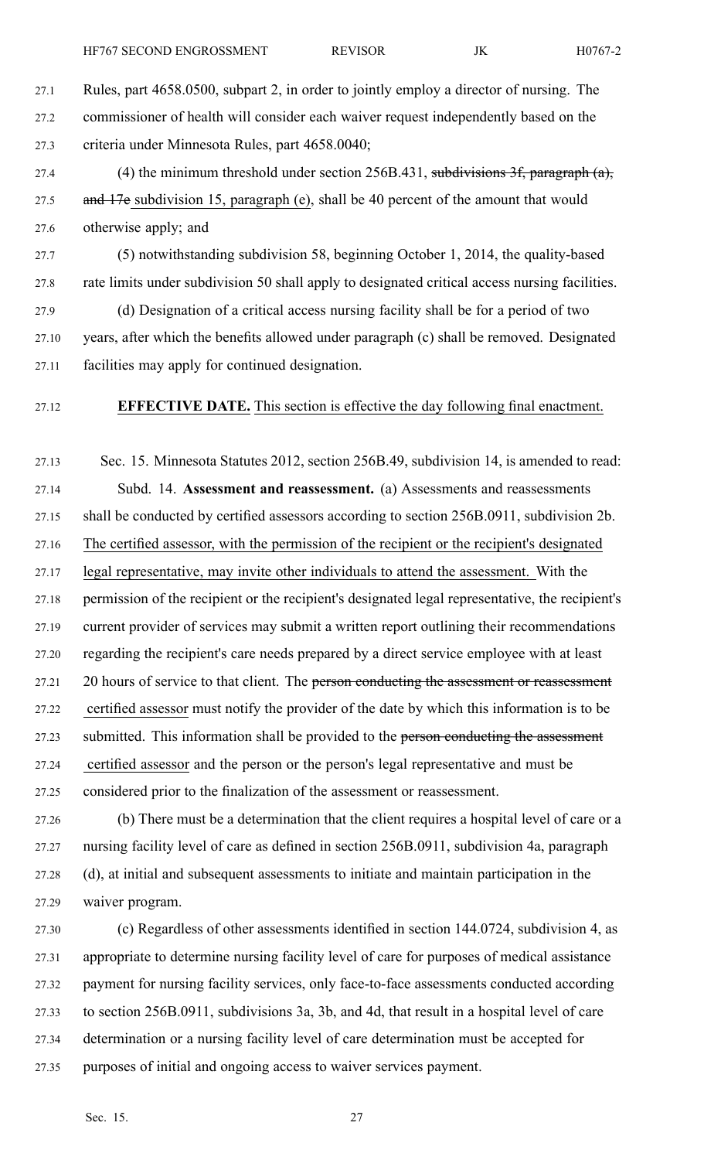27.1 Rules, par<sup>t</sup> 4658.0500, subpart 2, in order to jointly employ <sup>a</sup> director of nursing. The 27.2 commissioner of health will consider each waiver reques<sup>t</sup> independently based on the 27.3 criteria under Minnesota Rules, par<sup>t</sup> 4658.0040;

27.4 (4) the minimum threshold under section 256B.431, subdivisions 3f, paragraph (a), 27.5 and 17e subdivision 15, paragraph (e), shall be 40 percent of the amount that would 27.6 otherwise apply; and

27.7 (5) notwithstanding subdivision 58, beginning October 1, 2014, the quality-based 27.8 rate limits under subdivision 50 shall apply to designated critical access nursing facilities.

27.9 (d) Designation of <sup>a</sup> critical access nursing facility shall be for <sup>a</sup> period of two 27.10 years, after which the benefits allowed under paragraph (c) shall be removed. Designated 27.11 facilities may apply for continued designation.

## 27.12 **EFFECTIVE DATE.** This section is effective the day following final enactment.

27.13 Sec. 15. Minnesota Statutes 2012, section 256B.49, subdivision 14, is amended to read: 27.14 Subd. 14. **Assessment and reassessment.** (a) Assessments and reassessments 27.15 shall be conducted by certified assessors according to section 256B.0911, subdivision 2b. 27.16 The certified assessor, with the permission of the recipient or the recipient's designated 27.17 legal representative, may invite other individuals to attend the assessment. With the 27.18 permission of the recipient or the recipient's designated legal representative, the recipient's 27.19 current provider of services may submit <sup>a</sup> written repor<sup>t</sup> outlining their recommendations 27.20 regarding the recipient's care needs prepared by <sup>a</sup> direct service employee with at least 27.21 20 hours of service to that client. The person conducting the assessment or reassessment 27.22 certified assessor must notify the provider of the date by which this information is to be 27.23 submitted. This information shall be provided to the person conducting the assessment 27.24 certified assessor and the person or the person's legal representative and must be 27.25 considered prior to the finalization of the assessment or reassessment.

27.26 (b) There must be <sup>a</sup> determination that the client requires <sup>a</sup> hospital level of care or <sup>a</sup> 27.27 nursing facility level of care as defined in section 256B.0911, subdivision 4a, paragraph 27.28 (d), at initial and subsequent assessments to initiate and maintain participation in the 27.29 waiver program.

27.30 (c) Regardless of other assessments identified in section 144.0724, subdivision 4, as 27.31 appropriate to determine nursing facility level of care for purposes of medical assistance 27.32 paymen<sup>t</sup> for nursing facility services, only face-to-face assessments conducted according 27.33 to section 256B.0911, subdivisions 3a, 3b, and 4d, that result in <sup>a</sup> hospital level of care 27.34 determination or <sup>a</sup> nursing facility level of care determination must be accepted for 27.35 purposes of initial and ongoing access to waiver services payment.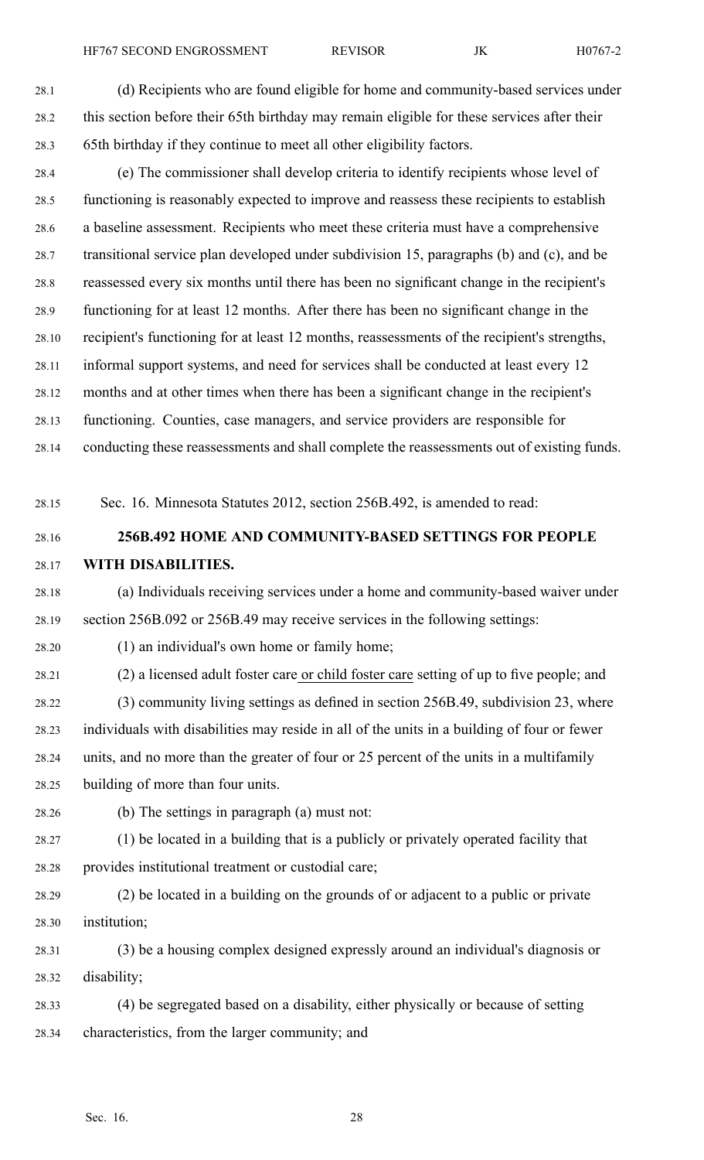28.4 (e) The commissioner shall develop criteria to identify recipients whose level of 28.5 functioning is reasonably expected to improve and reassess these recipients to establish 28.6 <sup>a</sup> baseline assessment. Recipients who meet these criteria must have <sup>a</sup> comprehensive 28.7 transitional service plan developed under subdivision 15, paragraphs (b) and (c), and be 28.8 reassessed every six months until there has been no significant change in the recipient's 28.9 functioning for at least 12 months. After there has been no significant change in the 28.10 recipient's functioning for at least 12 months, reassessments of the recipient's strengths, 28.11 informal suppor<sup>t</sup> systems, and need for services shall be conducted at least every 12 28.12 months and at other times when there has been <sup>a</sup> significant change in the recipient's 28.13 functioning. Counties, case managers, and service providers are responsible for 28.14 conducting these reassessments and shall complete the reassessments out of existing funds.

28.15 Sec. 16. Minnesota Statutes 2012, section 256B.492, is amended to read:

# 28.16 **256B.492 HOME AND COMMUNITY-BASED SETTINGS FOR PEOPLE** 28.17 **WITH DISABILITIES.**

28.18 (a) Individuals receiving services under <sup>a</sup> home and community-based waiver under 28.19 section 256B.092 or 256B.49 may receive services in the following settings:

28.20 (1) an individual's own home or family home;

28.21 (2) <sup>a</sup> licensed adult foster care or child foster care setting of up to five people; and

28.22 (3) community living settings as defined in section 256B.49, subdivision 23, where 28.23 individuals with disabilities may reside in all of the units in <sup>a</sup> building of four or fewer 28.24 units, and no more than the greater of four or 25 percen<sup>t</sup> of the units in <sup>a</sup> multifamily 28.25 building of more than four units.

28.26 (b) The settings in paragraph (a) must not:

28.27 (1) be located in <sup>a</sup> building that is <sup>a</sup> publicly or privately operated facility that 28.28 provides institutional treatment or custodial care;

28.29 (2) be located in <sup>a</sup> building on the grounds of or adjacent to <sup>a</sup> public or private 28.30 institution;

28.31 (3) be <sup>a</sup> housing complex designed expressly around an individual's diagnosis or 28.32 disability;

28.33 (4) be segregated based on <sup>a</sup> disability, either physically or because of setting 28.34 characteristics, from the larger community; and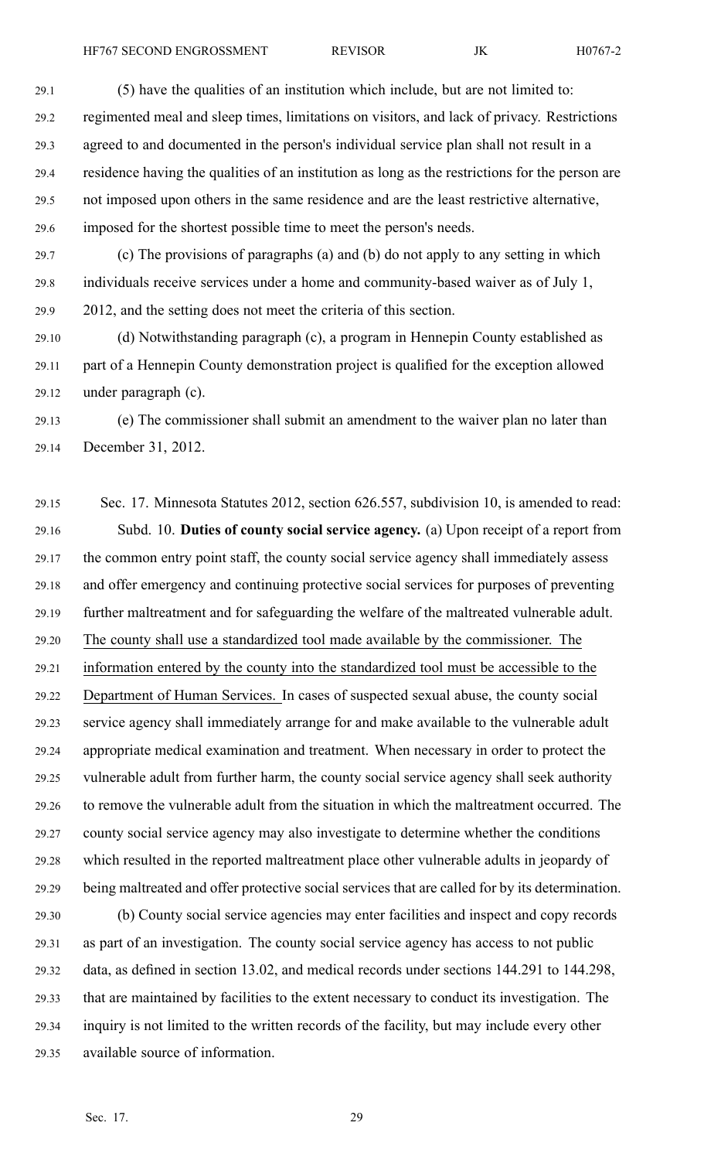29.1 (5) have the qualities of an institution which include, but are not limited to: 29.2 regimented meal and sleep times, limitations on visitors, and lack of privacy. Restrictions 29.3 agreed to and documented in the person's individual service plan shall not result in <sup>a</sup> 29.4 residence having the qualities of an institution as long as the restrictions for the person are 29.5 not imposed upon others in the same residence and are the least restrictive alternative, 29.6 imposed for the shortest possible time to meet the person's needs.

29.7 (c) The provisions of paragraphs (a) and (b) do not apply to any setting in which 29.8 individuals receive services under <sup>a</sup> home and community-based waiver as of July 1, 29.9 2012, and the setting does not meet the criteria of this section.

29.10 (d) Notwithstanding paragraph (c), <sup>a</sup> program in Hennepin County established as 29.11 par<sup>t</sup> of <sup>a</sup> Hennepin County demonstration project is qualified for the exception allowed 29.12 under paragraph (c).

29.13 (e) The commissioner shall submit an amendment to the waiver plan no later than 29.14 December 31, 2012.

29.15 Sec. 17. Minnesota Statutes 2012, section 626.557, subdivision 10, is amended to read: 29.16 Subd. 10. **Duties of county social service agency.** (a) Upon receipt of <sup>a</sup> repor<sup>t</sup> from 29.17 the common entry point staff, the county social service agency shall immediately assess 29.18 and offer emergency and continuing protective social services for purposes of preventing 29.19 further maltreatment and for safeguarding the welfare of the maltreated vulnerable adult. 29.20 The county shall use <sup>a</sup> standardized tool made available by the commissioner. The 29.21 information entered by the county into the standardized tool must be accessible to the 29.22 Department of Human Services. In cases of suspected sexual abuse, the county social 29.23 service agency shall immediately arrange for and make available to the vulnerable adult 29.24 appropriate medical examination and treatment. When necessary in order to protect the 29.25 vulnerable adult from further harm, the county social service agency shall seek authority 29.26 to remove the vulnerable adult from the situation in which the maltreatment occurred. The 29.27 county social service agency may also investigate to determine whether the conditions 29.28 which resulted in the reported maltreatment place other vulnerable adults in jeopardy of 29.29 being maltreated and offer protective social services that are called for by its determination.

29.30 (b) County social service agencies may enter facilities and inspect and copy records 29.31 as par<sup>t</sup> of an investigation. The county social service agency has access to not public 29.32 data, as defined in section 13.02, and medical records under sections 144.291 to 144.298, 29.33 that are maintained by facilities to the extent necessary to conduct its investigation. The 29.34 inquiry is not limited to the written records of the facility, but may include every other 29.35 available source of information.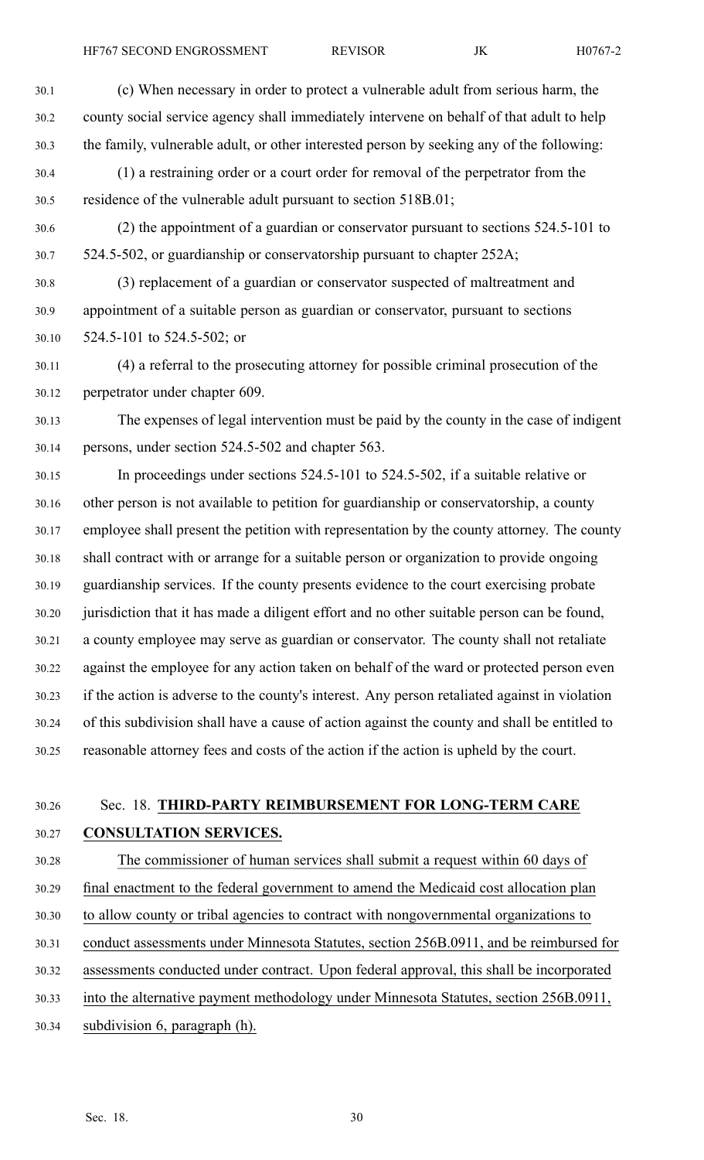| 30.1  | (c) When necessary in order to protect a vulnerable adult from serious harm, the              |
|-------|-----------------------------------------------------------------------------------------------|
| 30.2  | county social service agency shall immediately intervene on behalf of that adult to help      |
| 30.3  | the family, vulnerable adult, or other interested person by seeking any of the following:     |
| 30.4  | (1) a restraining order or a court order for removal of the perpetrator from the              |
| 30.5  | residence of the vulnerable adult pursuant to section 518B.01;                                |
| 30.6  | (2) the appointment of a guardian or conservator pursuant to sections 524.5-101 to            |
| 30.7  | 524.5-502, or guardianship or conservatorship pursuant to chapter 252A;                       |
| 30.8  | (3) replacement of a guardian or conservator suspected of maltreatment and                    |
| 30.9  | appointment of a suitable person as guardian or conservator, pursuant to sections             |
| 30.10 | 524.5-101 to 524.5-502; or                                                                    |
| 30.11 | (4) a referral to the prosecuting attorney for possible criminal prosecution of the           |
| 30.12 | perpetrator under chapter 609.                                                                |
| 30.13 | The expenses of legal intervention must be paid by the county in the case of indigent         |
| 30.14 | persons, under section 524.5-502 and chapter 563.                                             |
| 30.15 | In proceedings under sections $524.5 - 101$ to $524.5 - 502$ , if a suitable relative or      |
| 30.16 | other person is not available to petition for guardianship or conservatorship, a county       |
| 30.17 | employee shall present the petition with representation by the county attorney. The county    |
| 30.18 | shall contract with or arrange for a suitable person or organization to provide ongoing       |
| 30.19 | guardianship services. If the county presents evidence to the court exercising probate        |
| 30.20 | jurisdiction that it has made a diligent effort and no other suitable person can be found,    |
| 30.21 | a county employee may serve as guardian or conservator. The county shall not retaliate        |
| 30.22 | against the employee for any action taken on behalf of the ward or protected person even      |
| 30.23 | if the action is adverse to the county's interest. Any person retaliated against in violation |
| 30.24 | of this subdivision shall have a cause of action against the county and shall be entitled to  |
| 30.25 | reasonable attorney fees and costs of the action if the action is upheld by the court.        |
|       |                                                                                               |
| 30.26 | Sec. 18. THIRD-PARTY REIMBURSEMENT FOR LONG-TERM CARE                                         |
| 30.27 | <b>CONSULTATION SERVICES.</b>                                                                 |
|       |                                                                                               |

30.28 The commissioner of human services shall submit <sup>a</sup> reques<sup>t</sup> within 60 days of 30.29 final enactment to the federal governmen<sup>t</sup> to amend the Medicaid cost allocation plan 30.30 to allow county or tribal agencies to contract with nongovernmental organizations to 30.31 conduct assessments under Minnesota Statutes, section 256B.0911, and be reimbursed for 30.32 assessments conducted under contract. Upon federal approval, this shall be incorporated

- 30.33 into the alternative paymen<sup>t</sup> methodology under Minnesota Statutes, section 256B.0911,
- 30.34 subdivision 6, paragraph (h).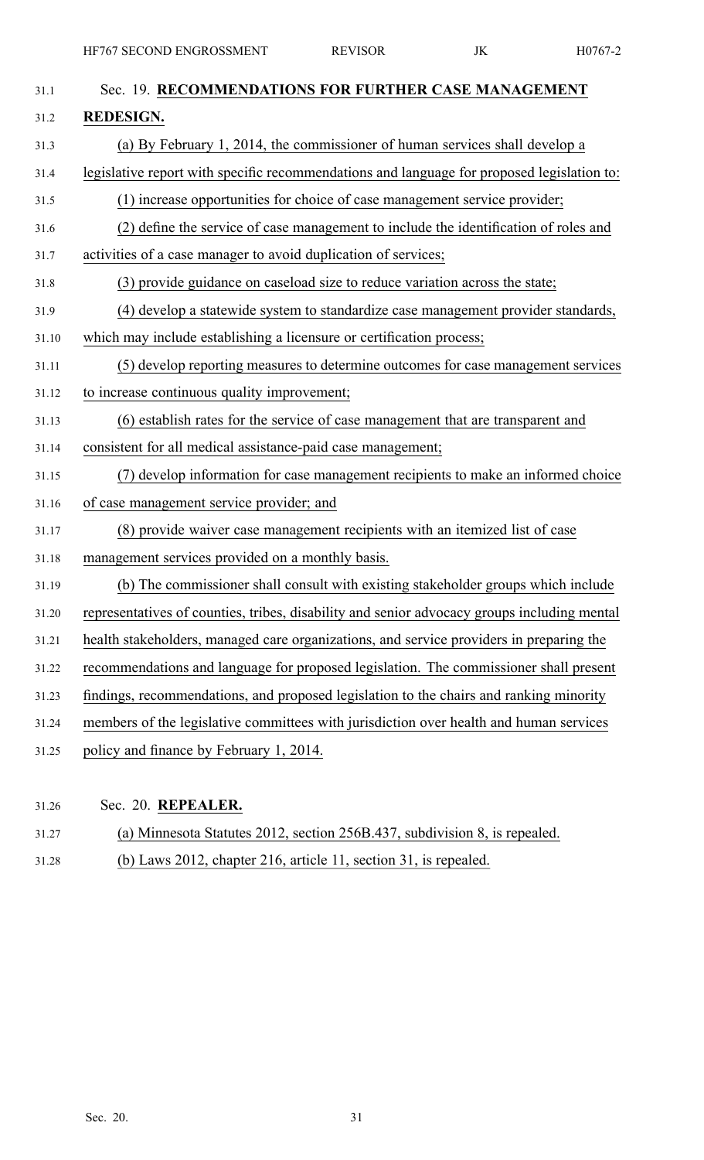| 31.1  | Sec. 19. RECOMMENDATIONS FOR FURTHER CASE MANAGEMENT                                        |
|-------|---------------------------------------------------------------------------------------------|
| 31.2  | <b>REDESIGN.</b>                                                                            |
| 31.3  | (a) By February 1, 2014, the commissioner of human services shall develop a                 |
| 31.4  | legislative report with specific recommendations and language for proposed legislation to:  |
| 31.5  | (1) increase opportunities for choice of case management service provider;                  |
| 31.6  | (2) define the service of case management to include the identification of roles and        |
| 31.7  | activities of a case manager to avoid duplication of services;                              |
| 31.8  | (3) provide guidance on caseload size to reduce variation across the state;                 |
| 31.9  | (4) develop a statewide system to standardize case management provider standards,           |
| 31.10 | which may include establishing a licensure or certification process;                        |
| 31.11 | (5) develop reporting measures to determine outcomes for case management services           |
| 31.12 | to increase continuous quality improvement;                                                 |
| 31.13 | (6) establish rates for the service of case management that are transparent and             |
| 31.14 | consistent for all medical assistance-paid case management;                                 |
| 31.15 | (7) develop information for case management recipients to make an informed choice           |
| 31.16 | of case management service provider; and                                                    |
| 31.17 | (8) provide waiver case management recipients with an itemized list of case                 |
| 31.18 | management services provided on a monthly basis.                                            |
| 31.19 | (b) The commissioner shall consult with existing stakeholder groups which include           |
| 31.20 | representatives of counties, tribes, disability and senior advocacy groups including mental |
| 31.21 | health stakeholders, managed care organizations, and service providers in preparing the     |
| 31.22 | recommendations and language for proposed legislation. The commissioner shall present       |
| 31.23 | findings, recommendations, and proposed legislation to the chairs and ranking minority      |
| 31.24 | members of the legislative committees with jurisdiction over health and human services      |
| 31.25 | policy and finance by February 1, 2014.                                                     |
|       |                                                                                             |

- 31.26 Sec. 20. **REPEALER.**
- 31.27 (a) Minnesota Statutes 2012, section 256B.437, subdivision 8, is repealed.
- 31.28 (b) Laws 2012, chapter 216, article 11, section 31, is repealed.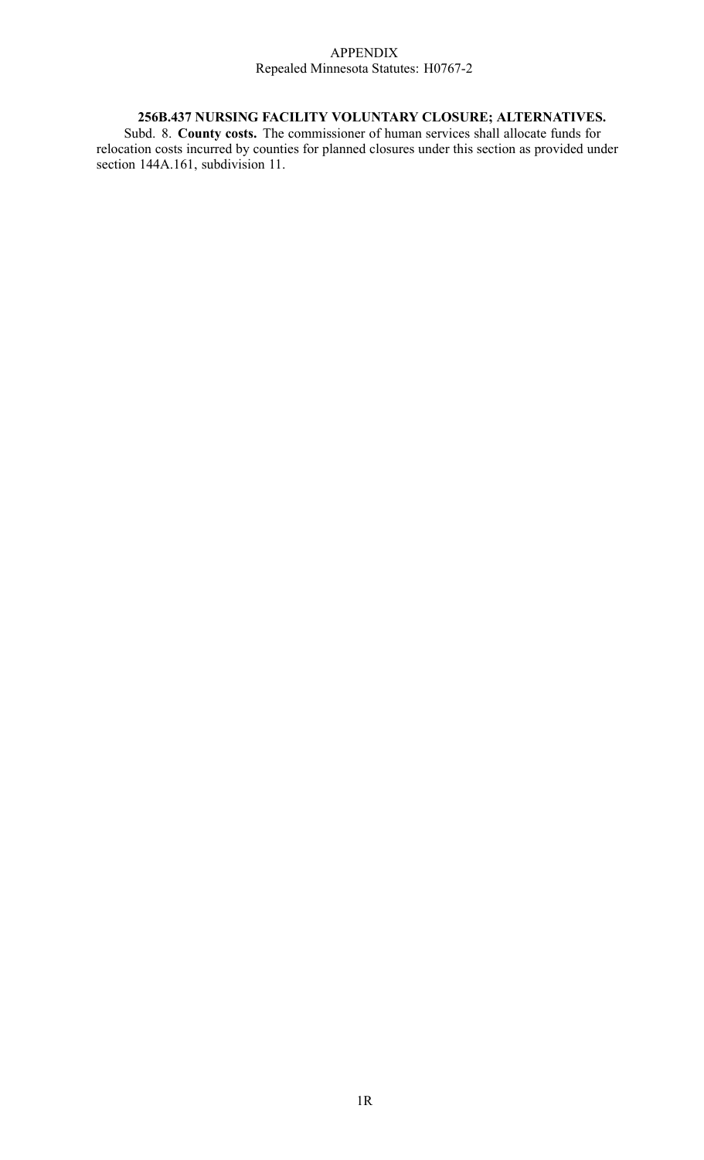#### APPENDIX Repealed Minnesota Statutes: H0767-2

### **256B.437 NURSING FACILITY VOLUNTARY CLOSURE; ALTERNATIVES.**

Subd. 8. **County costs.** The commissioner of human services shall allocate funds for relocation costs incurred by counties for planned closures under this section as provided under section 144A.161, subdivision 11.